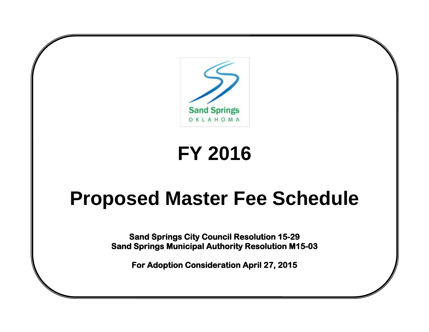

# **FY 2016**

# **Proposed Master Fee Schedule**

**Sand Springs City Council Resolution 15-29 Sand Springs Municipal Authority Resolution M15-03** 

**For Adoption Consideration April 27, 2015**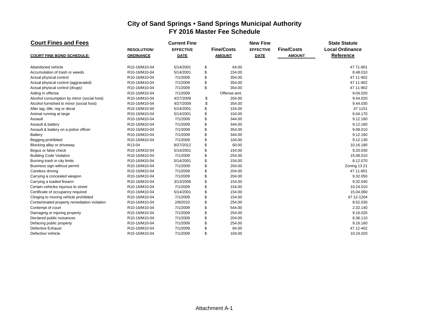#### **Court Fines and Fees Current Fine Current Fine New Fine New Fine** State Statute **RESOLUTION/ EFFECTIVE Fine/Costs EFFECTIVE Fine/Costs Local Ordinance COURT FINE BOND SCHEDULE: ORDINANCE DATE AMOUNT DATE AMOUNT Reference** Abandoned vehicle R10-16/M10-04 5/14/2001 \$ 64.00 47 71-901 Accumulation of trash or weeds **R10-16/M10-04** 5/14/2001 \$ 154.00 **8.48.010** 8.48.010 Actual physical control R10-16/M10-04 7/1/2009 \$ 354.00 47 11-902 Actual physical control (aggravated) R10-16/M10-04 7/1/2009 \$ 354.00 47 11-902 Actual physical control (drugs)  $R10-16/M10-04$   $7/1/2009$   $R10-16/M10-04$   $7/1/2009$   $R10-16/M10-04$   $7/1/2009$   $R10-16/M10-04$   $7/1/2009$   $R10-16/M10-04$   $R10-16/M10-04$   $R10-16/M10-04$   $R10-16/M10-04$   $R10-16/M10-04$   $R10-16/M10-$ Aiding in offense R10-16/M10-04 7/1/2009 Offense amt. 9.04.020 Alcohol consumption by minor (social host) <br>Alcohol furnished to minor (social host) R10-16/M10-04 4/27/2009 \$ 354.00 9.44.030 9.44.030 Alcohol furnished to minor (social host) **R10-16/M10-04** 4/27/2009 \$ 354.00<br>Alter tag. title. reg or decal **R10-16/M10-04** 5/14/2001 \$ 154.00 \$ 154.00 47 1151 Alter tag, title, reg or decal  $\begin{array}{ccc}\n & & \text{R}10-16/M10-04 & & \text{5/14/2001} \\
\text{Animal running at large} & & \text{R}10-16/M10-04 & & \text{5/14/2001} \\
\end{array}$ Animal running at large R10-16/M10-04 5/14/2001 \$ 104.00 6.04.170 Assault R10-16/M10-04 7/1/2009 \$ 344.00 9.12.160 Assault & battery R10-16/M10-04 7/1/2009 \$ 344.00 9.12.160 Assault & battery on a police officer  $R10-16/M10-04$   $R10-16/M10-04$   $R10-16/M10-04$   $R10-16/M10-04$   $R10-16/M10-04$   $R1/2009$   $R1/21/2009$   $R1/21/2009$   $R1/21/2009$   $R1/21/2009$   $R1/21/2009$   $R1/21/2009$   $R1/21/2009$   $R1/21/2$ Battery R10-16/M10-04 7/1/2009 \$ 344.00 9.12.160 Begging prohibited R10-16/M10-04 7/1/2009 \$ 104.00 9.12.130 Blocking alley or driveway **R13-04** R13-04 8/27/2012 \$ 60.00 60.00 60.00 10.16.180 Bogus or false check R10-16/M10-04 5/14/2001 \$ 154.00 9.20.030 Building Code Violation R10-16/M10-04 7/1/2009 \$ 254.00 15.08.010 Burning trash in city limits and the R10-16/M10-04 5/14/2001 5 5/14/2001 5 5/14/2001 5 5/14/2001 5 5/14/2001 5 Business sign without permit **Example 13.21** R10-16/M10-04 7/1/2009 \$ 204.00<br>Careless driving **R10-16/M10-04** 7/1/2009 \$ 204.00 Careless driving R10-16/M10-04 7/1/2009 \$ 204.00 47 11-801 Carrying a concealed weapon **R10-16/M10-04** 7/1/2009 \$ 204.00 201.00 \$ 9.32.050 Carrying a loaded firearm R10-16/M10-04 3/13/2006 \$ 154.00 9.32.040 Certain vehicles injurous to street **R10-16/M10-04** 7/1/2009 \$ 154.00<br>Certificate of occupancy required **R10-16/M10-04** 5/14/2001 \$ 154.00 154.00 15.04.060 Certificate of occupancy required **R10-16/M10-04** 5/14/2001 Clinging to moving vehicle prohibited R10-16/M10-04 7/1/2009 \$ 154.00 47 12-1204 Contaminated property remediation violation R10-16/M10-04 2/8/2010 \$ 254.00 8.52.030 8.52.030 Contempt of court R10-16/M10-04 7/1/2009 \$ 544.00 2.32.140 Damaging or injuring property and the R10-16/M10-04 17/1/2009 5 254.00<br>Declared public nuisances and the R10-16/M10-04 7/1/2009 5 204.00 17/1000 7/1/2009 5 204.00 Declared public nuisances R10-16/M10-04 7/1/2009 \$ 204.00 8.36.110 Defacing public property R10-16/M10-04 7/1/2009 \$ 254.00 9.16.160 Defective Exhaust R10-16/M10-04 7/1/2009 \$ 84.00 47 12-402 Defective Vehicle R10-16/M10-04 7/1/2009 \$ 104.00 10.24.020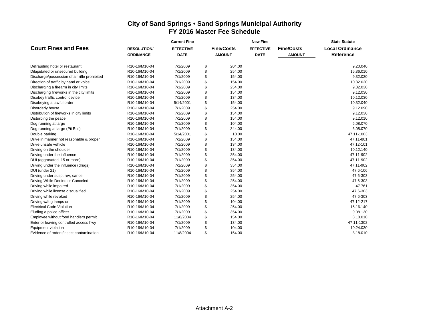|                                              |                   | <b>Current Fine</b> |                   | <b>New Fine</b>  |                   | <b>State Statute</b>   |  |  |  |  |
|----------------------------------------------|-------------------|---------------------|-------------------|------------------|-------------------|------------------------|--|--|--|--|
| <b>Court Fines and Fees</b>                  | <b>RESOLUTION</b> | <b>EFFECTIVE</b>    | <b>Fine/Costs</b> | <b>EFFECTIVE</b> | <b>Fine/Costs</b> | <b>Local Ordinance</b> |  |  |  |  |
|                                              | <b>ORDINANCE</b>  | <b>DATE</b>         | <b>AMOUNT</b>     | <b>DATE</b>      | <b>AMOUNT</b>     | Reference              |  |  |  |  |
|                                              |                   |                     |                   |                  |                   |                        |  |  |  |  |
| Defrauding hotel or restaurant               | R10-16/M10-04     | 7/1/2009            | \$<br>204.00      |                  |                   | 9.20.040               |  |  |  |  |
| Dilapidated or unsecured building            | R10-16/M10-04     | 7/1/2009            | \$<br>254.00      |                  |                   | 15.36.010              |  |  |  |  |
| Discharge/possession of air rifle prohibited | R10-16/M10-04     | 7/1/2009            | \$<br>154.00      |                  |                   | 9.32.020               |  |  |  |  |
| Direction of traffic by hand or voice        | R10-16/M10-04     | 7/1/2009            | \$<br>154.00      |                  |                   | 10.32.020              |  |  |  |  |
| Discharging a firearm in city limits         | R10-16/M10-04     | 7/1/2009            | \$<br>254.00      |                  |                   | 9.32.030               |  |  |  |  |
| Discharging fireworks in the city limits     | R10-16/M10-04     | 7/1/2009            | \$<br>154.00      |                  |                   | 9.12.030               |  |  |  |  |
| Disobey traffic control device               | R10-16/M10-04     | 7/1/2009            | \$<br>134.00      |                  |                   | 10.12.030              |  |  |  |  |
| Disobeying a lawful order                    | R10-16/M10-04     | 5/14/2001           | \$<br>154.00      |                  |                   | 10.32.040              |  |  |  |  |
| Disorderly house                             | R10-16/M10-04     | 7/1/2009            | \$<br>254.00      |                  |                   | 9.12.090               |  |  |  |  |
| Distribution of fireworks in city limits     | R10-16/M10-04     | 7/1/2009            | \$<br>154.00      |                  |                   | 9.12.030               |  |  |  |  |
| Disturbing the peace                         | R10-16/M10-04     | 7/1/2009            | \$<br>154.00      |                  |                   | 9.12.010               |  |  |  |  |
| Dog running at large                         | R10-16/M10-04     | 7/1/2009            | \$<br>104.00      |                  |                   | 6.08.070               |  |  |  |  |
| Dog running at large (Pit Bull)              | R10-16/M10-04     | 7/1/2009            | \$<br>344.00      |                  |                   | 6.08.070               |  |  |  |  |
| Double parking                               | R10-16/M10-04     | 5/14/2001           | \$<br>10.00       |                  |                   | 47 11-1003             |  |  |  |  |
| Drive in manner not reasonable & proper      | R10-16/M10-04     | 7/1/2009            | \$<br>154.00      |                  |                   | 47 11-801              |  |  |  |  |
| Drive unsafe vehicle                         | R10-16/M10-04     | 7/1/2009            | \$<br>134.00      |                  |                   | 47 12-101              |  |  |  |  |
| Driving on the shoulder                      | R10-16/M10-04     | 7/1/2009            | \$<br>134.00      |                  |                   | 10.12.140              |  |  |  |  |
| Driving under the influence                  | R10-16/M10-04     | 7/1/2009            | \$<br>354.00      |                  |                   | 47 11-902              |  |  |  |  |
| DUI (aggravated .15 or more)                 | R10-16/M10-04     | 7/1/2009            | \$<br>354.00      |                  |                   | 47 11-902              |  |  |  |  |
| Driving under the influence (drugs)          | R10-16/M10-04     | 7/1/2009            | \$<br>354.00      |                  |                   | 47 11-902              |  |  |  |  |
| DUI (under 21)                               | R10-16/M10-04     | 7/1/2009            | \$<br>354.00      |                  |                   | 476-106                |  |  |  |  |
| Driving under susp, rev, cancel              | R10-16/M10-04     | 7/1/2009            | \$<br>254.00      |                  |                   | 47 6-303               |  |  |  |  |
| Driving While Denied or Canceled             | R10-16/M10-04     | 7/1/2009            | \$<br>254.00      |                  |                   | 47 6-303               |  |  |  |  |
| Driving while impaired                       | R10-16/M10-04     | 7/1/2009            | \$<br>354.00      |                  |                   | 47 761                 |  |  |  |  |
| Driving while license disqualified           | R10-16/M10-04     | 7/1/2009            | \$<br>254.00      |                  |                   | 47 6-303               |  |  |  |  |
| Driving while revoked                        | R10-16/M10-04     | 7/1/2009            | \$<br>254.00      |                  |                   | 47 6-303               |  |  |  |  |
| Driving w/fog lamps on                       | R10-16/M10-04     | 7/1/2009            | \$<br>104.00      |                  |                   | 47 12-217              |  |  |  |  |
| <b>Electrical Code Violation</b>             | R10-16/M10-04     | 7/1/2009            | \$<br>254.00      |                  |                   | 15.16.140              |  |  |  |  |
| Eluding a police officer                     | R10-16/M10-04     | 7/1/2009            | \$<br>354.00      |                  |                   | 9.08.130               |  |  |  |  |
| Employee without food handlers permit        | R10-16/M10-04     | 11/8/2004           | \$<br>154.00      |                  |                   | 8.18.010               |  |  |  |  |
| Enter or leaving controlled access hwy       | R10-16/M10-04     | 7/1/2009            | \$<br>134.00      |                  |                   | 47 11-1302             |  |  |  |  |
| Equipment violation                          | R10-16/M10-04     | 7/1/2009            | \$<br>104.00      |                  |                   | 10.24.030              |  |  |  |  |
| Evidence of rodent/insect contamination      | R10-16/M10-04     | 11/8/2004           | \$<br>154.00      |                  |                   | 8.18.010               |  |  |  |  |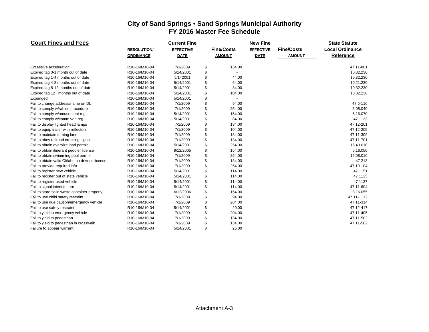| <b>Court Fines and Fees</b>                    |                    | <b>Current Fine</b> |                   | <b>New Fine</b>  |                   | <b>State Statute</b>   |
|------------------------------------------------|--------------------|---------------------|-------------------|------------------|-------------------|------------------------|
|                                                | <b>RESOLUTION/</b> | <b>EFFECTIVE</b>    | <b>Fine/Costs</b> | <b>EFFECTIVE</b> | <b>Fine/Costs</b> | <b>Local Ordinance</b> |
|                                                | <b>ORDINANCE</b>   | <b>DATE</b>         | <b>AMOUNT</b>     | <b>DATE</b>      | <b>AMOUNT</b>     | Reference              |
| Excessive acceleration                         | R10-16/M10-04      | 7/1/2009            | \$<br>134.00      |                  |                   | 47 11-801              |
| Expired tag 0-1 month out of date              | R10-16/M10-04      | 5/14/2001           | \$                |                  |                   | 10.32.230              |
| Expired tag 1-4 months out of date             | R10-16/M10-04      | 5/142001            | \$<br>44.00       |                  |                   | 10.32.230              |
| Expired tag 4-8 months out of date             | R10-16/M10-04      | 5/14/2001           | \$<br>64.00       |                  |                   | 10.21.230              |
| Expired tag 8-12 months out of date            | R10-16/M10-04      | 5/14/2001           | \$<br>84.00       |                  |                   | 10.32.230              |
| Expired tag 12+ months out of date             | R10-16/M10-04      | 5/14/2001           | \$<br>104.00      |                  |                   | 10.32.230              |
| Expunged                                       | R10-16/M10-04      | 5/14/2001           | \$                |                  |                   |                        |
| Fail to change address/name on DL              | R10-16/M10-04      | 7/1/2009            | \$<br>94.00       |                  |                   | 47 6-116               |
| Fail to comply w/rabies procedure              | R10-16/M10-04      | 7/1/2009            | \$<br>254.00      |                  |                   | 6.08.040               |
| Fail to comply w/amusement reg                 | R10-16/M10-04      | 5/14/2001           | \$<br>154.00      |                  |                   | 5.16.070               |
| Fail to comply w/comm veh reg                  | R10-16/M10-04      | 5/14/2001           | \$<br>84.00       |                  |                   | 47 1133                |
| Fail to display lighted head lamps             | R10-16/M10-04      | 7/1/2009            | \$<br>134.00      |                  |                   | 47 12-201              |
| Fail to equip trailer with reflectors          | R10-16/M10-04      | 7/1/2009            | \$<br>104.00      |                  |                   | 47 12-205              |
| Fail to maintain turning lane                  | R10-16/M10-04      | 7/1/2009            | \$<br>134.00      |                  |                   | 47 11-309              |
| Fail to obey railroad crossing signal          | R10-16/M10-04      | 7/1/2009            | \$<br>134.00      |                  |                   | 47 11-701              |
| Fail to obtain oversize load permit            | R10-16/M10-04      | 5/14/2001           | \$<br>254.00      |                  |                   | 15.40.010              |
| Fail to obtain itinerant peddler license       | R10-16/M10-04      | 9/12/2005           | \$<br>154.00      |                  |                   | 5.16.050               |
| Fail to obtain swimming pool permit            | R10-16/M10-04      | 7/1/2009            | \$<br>254.00      |                  |                   | 15.08.010              |
| Fail to obtain valid Oklahoma driver's license | R10-16/M10-04      | 7/1/2009            | \$<br>134.00      |                  |                   | 47 213                 |
| Fail to provide required info                  | R10-16/M10-04      | 7/1/2009            | \$<br>254.00      |                  |                   | 47 10-104              |
| Fail to register new vehicle                   | R10-16/M10-04      | 5/14/2001           | \$<br>114.00      |                  |                   | 47 1151                |
| Fail to register out of state vehicle          | R10-16/M10-04      | 5/14/2001           | \$<br>114.00      |                  |                   | 47 1125                |
| Fail to register used vehicle                  | R10-16/M10-04      | 5/14/2001           | \$<br>114.00      |                  |                   | 47 1137                |
| Fail to signal intent to turn                  | R10-16/M10-04      | 5/14/2001           | \$<br>114.00      |                  |                   | 47 11-604              |
| Fail to store solid waste container properly   | R10-16/M10-04      | 6/12/2006           | \$<br>154.00      |                  |                   | 8.16.055               |
| Fail to use child safety restraint             | R10-16/M10-04      | 7/1/2009            | \$<br>94.00       |                  |                   | 47 11-1112             |
| Fail to use due caution/emergency vehicle      | R10-16/M10-04      | 7/1/2009            | \$<br>204.00      |                  |                   | 47 11-314              |
| Fail to use safety restraint                   | R10-16/M10-04      | 5/14/2001           | \$<br>20.00       |                  |                   | 47 12-417              |
| Fail to yield to emergency vehicle             | R10-16/M10-04      | 7/1/2009            | \$<br>204.00      |                  |                   | 47 11-405              |
| Fail to yield to pedestrian                    | R10-16/M10-04      | 7/1/2009            | \$<br>134.00      |                  |                   | 47 11-502              |
| Fail to yield to pedestrian in crosswalk       | R10-16/M10-04      | 7/1/2009            | \$<br>134.00      |                  |                   | 47 11-502              |
| Failure to appear warrant                      | R10-16/M10-04      | 5/14/2001           | \$<br>25.00       |                  |                   |                        |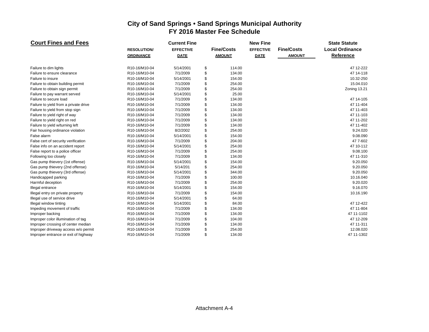| <b>Court Fines and Fees</b>           |                   | <b>Current Fine</b> |                   | <b>New Fine</b>  |                   | <b>State Statute</b>   |  |  |
|---------------------------------------|-------------------|---------------------|-------------------|------------------|-------------------|------------------------|--|--|
|                                       | <b>RESOLUTION</b> | <b>EFFECTIVE</b>    | <b>Fine/Costs</b> | <b>EFFECTIVE</b> | <b>Fine/Costs</b> | <b>Local Ordinance</b> |  |  |
|                                       | <b>ORDINANCE</b>  | <b>DATE</b>         | <b>AMOUNT</b>     | <b>DATE</b>      | <b>AMOUNT</b>     | Reference              |  |  |
| Failure to dim lights                 | R10-16/M10-04     | 5/14/2001           | \$<br>114.00      |                  |                   | 47 12-222              |  |  |
| Failure to ensure clearance           | R10-16/M10-04     | 7/1/2009            | \$<br>134.00      |                  |                   | 47 14-118              |  |  |
| Failure to insure                     | R10-16/M10-04     | 5/14/2001           | \$<br>154.00      |                  |                   | 10.32-250              |  |  |
| Failure to obtain building permit     | R10-16/M10-04     | 7/1/2009            | \$<br>254.00      |                  |                   | 15.04.010              |  |  |
| Failure to obtain sign permit         | R10-16/M10-04     | 7/1/2009            | \$<br>254.00      |                  |                   | Zoning 13.21           |  |  |
| Failure to pay warrant served         | R10-16/M10-04     | 5/14/2001           | \$<br>25.00       |                  |                   |                        |  |  |
| Failure to secure load                | R10-16/M10-04     | 7/1/2009            | \$<br>134.00      |                  |                   | 47 14-105              |  |  |
| Failure to yield from a private drive | R10-16/M10-04     | 7/1/2009            | \$<br>134.00      |                  |                   | 47 11-404              |  |  |
| Failure to yield from stop sign       | R10-16/M10-04     | 7/1/2009            | \$<br>134.00      |                  |                   | 47 11-403              |  |  |
| Failure to yield right of way         | R10-16/M10-04     | 7/1/2009            | \$<br>134.00      |                  |                   | 47 11-103              |  |  |
| Failure to yield right on red         | R10-16/M10-04     | 7/1/2009            | \$<br>134.00      |                  |                   | 47 11-202              |  |  |
| Failure to yield w/turning left       | R10-16/M10-04     | 7/1/2009            | \$<br>134.00      |                  |                   | 47 11-402              |  |  |
| Fair housing ordinance violation      | R10-16/M10-04     | 8/2/2002            | \$<br>254.00      |                  |                   | 9.24.020               |  |  |
| False alarm                           | R10-16/M10-04     | 5/14/2001           | \$<br>154.00      |                  |                   | 9.08.090               |  |  |
| False cert of security verification   | R10-16/M10-04     | 7/1/2009            | \$<br>204.00      |                  |                   | 47 7-602               |  |  |
| False info on an accident report      | R10-16/M10-04     | 5/14/2001           | \$<br>254.00      |                  |                   | 47 10-112              |  |  |
| False report to a police officer      | R10-16/M10-04     | 7/1/2009            | \$<br>254.00      |                  |                   | 9.08.100               |  |  |
| Following too closely                 | R10-16/M10-04     | 7/1/2009            | \$<br>134.00      |                  |                   | 47 11-310              |  |  |
| Gas pump thievery (1st offense)       | R10-16/M10-04     | 5/14/2001           | \$<br>154.00      |                  |                   | 9.20.050               |  |  |
| Gas pump thievery (2nd offense)       | R10-16/M10-04     | 5/14/201            | \$<br>254.00      |                  |                   | 9.20.050               |  |  |
| Gas pump thievery (3rd offense)       | R10-16/M10-04     | 5/14/2001           | \$<br>344.00      |                  |                   | 9.20.050               |  |  |
| Handicapped parking                   | R10-16/M10-04     | 7/1/2009            | \$<br>100.00      |                  |                   | 10.16.040              |  |  |
| Harmful deception                     | R10-16/M10-04     | 7/1/2009            | \$<br>254.00      |                  |                   | 9.20.020               |  |  |
| Illegal entrance                      | R10-16/M10-04     | 5/14/2001           | \$<br>154.00      |                  |                   | 9.16.070               |  |  |
| Illegal entry on private property     | R10-16/M10-04     | 7/1/2009            | \$<br>154.00      |                  |                   | 10.16.190              |  |  |
| Illegal use of service drive          | R10-16/M10-04     | 5/14/2001           | \$<br>64.00       |                  |                   |                        |  |  |
| Illegal window tinting                | R10-16/M10-04     | 5/14/2001           | \$<br>84.00       |                  |                   | 47 12-422              |  |  |
| Impeding movement of traffic          | R10-16/M10-04     | 7/1/2009            | \$<br>134.00      |                  |                   | 47 11-804              |  |  |
| Improper backing                      | R10-16/M10-04     | 7/1/2009            | \$<br>134.00      |                  |                   | 47 11-1102             |  |  |
| Improper color illumination of tag    | R10-16/M10-04     | 7/1/2009            | \$<br>104.00      |                  |                   | 47 12-209              |  |  |
| Improper crossing of center median    | R10-16/M10-04     | 7/1/2009            | \$<br>134.00      |                  |                   | 47 11-311              |  |  |
| Improper driveway access w/o permit   | R10-16/M10-04     | 7/1/2009            | \$<br>254.00      |                  |                   | 12.08.020              |  |  |
| Improper entrance or exit of highway  | R10-16/M10-04     | 7/1/2009            | \$<br>134.00      |                  |                   | 47 11-1302             |  |  |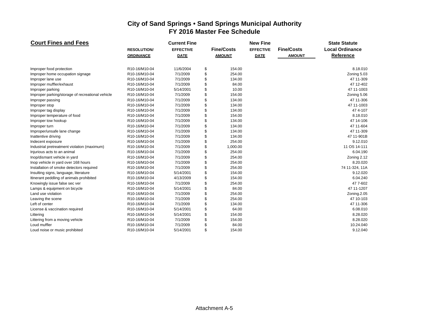| <b>Court Fines and Fees</b>                      |                    | <b>Current Fine</b> |                   | <b>New Fine</b>  |                   | <b>State Statute</b>   |  |  |
|--------------------------------------------------|--------------------|---------------------|-------------------|------------------|-------------------|------------------------|--|--|
|                                                  | <b>RESOLUTION/</b> | <b>EFFECTIVE</b>    | <b>Fine/Costs</b> | <b>EFFECTIVE</b> | <b>Fine/Costs</b> | <b>Local Ordinance</b> |  |  |
|                                                  | <b>ORDINANCE</b>   | <b>DATE</b>         | <b>AMOUNT</b>     | <b>DATE</b>      | <b>AMOUNT</b>     | Reference              |  |  |
| Improper food protection                         | R10-16/M10-04      | 11/6/2004           | \$<br>154.00      |                  |                   | 8.18.010               |  |  |
| Improper home occupation signage                 | R10-16/M10-04      | 7/1/2009            | \$<br>254.00      |                  |                   | Zoning 5.03            |  |  |
| Improper lane use                                | R10-16/M10-04      | 7/1/2009            | \$<br>134.00      |                  |                   | 47 11-309              |  |  |
| Improper muffler/exhaust                         | R10-16/M10-04      | 7/1/2009            | \$<br>84.00       |                  |                   | 47 12-402              |  |  |
| Improper parking                                 | R10-16/M10-04      | 5/14/2001           | \$<br>10.00       |                  |                   | 47 11-1003             |  |  |
| Improper parking/storage of recreational vehicle | R10-16/M10-04      | 7/1/2009            | \$<br>154.00      |                  |                   | Zoning 5.06            |  |  |
| Improper passing                                 | R10-16/M10-04      | 7/1/2009            | \$<br>134.00      |                  |                   | 47 11-306              |  |  |
| Improper stop                                    | R10-16/M10-04      | 7/1/2009            | \$<br>134.00      |                  |                   | 47 11-1003             |  |  |
| Improper tag display                             | R10-16/M10-04      | 7/1/2009            | \$<br>134.00      |                  |                   | 474--107               |  |  |
| Improper temperature of food                     | R10-16/M10-04      | 7/1/2009            | \$<br>154.00      |                  |                   | 8.18.010               |  |  |
| Improper tow hookup                              | R10-16/M10-04      | 7/1/2009            | \$<br>134.00      |                  |                   | 47 14-106              |  |  |
| Improper turn                                    | R10-16/M10-04      | 7/1/2009            | \$<br>134.00      |                  |                   | 47 11-604              |  |  |
| Improper/unsafe lane change                      | R10-16/M10-04      | 7/1/2009            | \$<br>134.00      |                  |                   | 47 11-309              |  |  |
| Inattentive driving                              | R10-16/M10-04      | 7/1/2009            | \$<br>134.00      |                  |                   | 47 11-901B             |  |  |
| Indecent exposure                                | R10-16/M10-04      | 7/1/2009            | \$<br>254.00      |                  |                   | 9.12.010               |  |  |
| Industrial pretreatment violation (maximum)      | R10-16/M10-04      | 7/1/2009            | \$<br>1,000.00    |                  |                   | 11 OS 14-111           |  |  |
| Injurious acts to an animal                      | R10-16/M10-04      | 7/1/2009            | \$<br>254.00      |                  |                   | 6.04.190               |  |  |
| Inop/dismant vehicle in yard                     | R10-16/M10-04      | 7/1/2009            | \$<br>254.00      |                  |                   | Zoning 2.12            |  |  |
| Inop vehicle in yard over 168 hours              | R10-16/M10-04      | 7/1/2009            | \$<br>254.00      |                  |                   | 8.20.020               |  |  |
| Installation of smoke detectors required         | R10-16/M10-04      | 7/1/2009            | \$<br>254.00      |                  |                   | 74 11-324, 11A         |  |  |
| Insulting signs, language, literature            | R10-16/M10-04      | 5/14/2001           | \$<br>154.00      |                  |                   | 9.12.020               |  |  |
| Itinerant peddling of animals prohibited         | R10-16/M10-04      | 4/13/2009           | \$<br>154.00      |                  |                   | 6.04.240               |  |  |
| Knowingly issue false sec ver                    | R10-16/M10-04      | 7/1/2009            | \$<br>254.00      |                  |                   | 47 7-602               |  |  |
| Lamps & equipment on bicycle                     | R10-16/M10-04      | 5/14/2001           | \$<br>84.00       |                  |                   | 47 11-1207             |  |  |
| Land use violation                               | R10-16/M10-04      | 7/1/2009            | \$<br>254.00      |                  |                   | Zoning.2.05            |  |  |
| Leaving the scene                                | R10-16/M10-04      | 7/1/2009            | \$<br>254.00      |                  |                   | 47 10-103              |  |  |
| Left of center                                   | R10-16/M10-04      | 7/1/2009            | \$<br>134.00      |                  |                   | 47 11-306              |  |  |
| License & vaccination required                   | R10-16/M10-04      | 5/14/2001           | \$<br>64.00       |                  |                   | 6.08.010               |  |  |
| Littering                                        | R10-16/M10-04      | 5/14/2001           | \$<br>154.00      |                  |                   | 8.28.020               |  |  |
| Littering from a moving vehicle                  | R10-16/M10-04      | 7/1/2009            | \$<br>154.00      |                  |                   | 8.28.020               |  |  |
| Loud muffler                                     | R10-16/M10-04      | 7/1/2009            | \$<br>84.00       |                  |                   | 10.24.040              |  |  |
| Loud noise or music prohibited                   | R10-16/M10-04      | 5/14/2001           | \$<br>154.00      |                  |                   | 9.12.040               |  |  |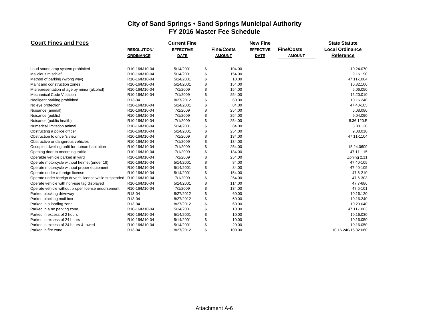| <b>Court Fines and Fees</b>                            |                     | <b>Current Fine</b> |                   | <b>New Fine</b>  |                   | <b>State Statute</b>   |
|--------------------------------------------------------|---------------------|---------------------|-------------------|------------------|-------------------|------------------------|
|                                                        | <b>RESOLUTION/</b>  | <b>EFFECTIVE</b>    | <b>Fine/Costs</b> | <b>EFFECTIVE</b> | <b>Fine/Costs</b> | <b>Local Ordinance</b> |
|                                                        | <b>ORDINANCE</b>    | <b>DATE</b>         | <b>AMOUNT</b>     | <b>DATE</b>      | <b>AMOUNT</b>     | Reference              |
| Loud sound amp system prohibited                       | R10-16/M10-04       | 5/14/2001           | \$<br>104.00      |                  |                   | 10.24.070              |
| Malicious mischief                                     | R10-16/M10-04       | 5/14/2001           | \$<br>154.00      |                  |                   | 9.16.190               |
| Method of parking (wrong way)                          | R10-16/M10-04       | 5/14/2001           | \$<br>10.00       |                  |                   | 47 11-1004             |
| Maint and construction zones                           | R10-16/M10-04       | 5/14/2001           | \$<br>154.00      |                  |                   | 10.32.100              |
| Misrepresentation of age by minor (alcohol)            | R10-16/M10-04       | 7/1/2009            | \$<br>154.00      |                  |                   | 5.06.050               |
| <b>Mechanical Code Violation</b>                       | R10-16/M10-04       | 7/1/2009            | \$<br>254.00      |                  |                   | 15.20.010              |
| Negligent parking prohibited                           | R <sub>13</sub> -04 | 8/27/2012           | \$<br>60.00       |                  |                   | 10.16.240              |
| No eye protection                                      | R10-16/M10-04       | 5/14/2001           | \$<br>84.00       |                  |                   | 47 40-105              |
| Nuisance (animal)                                      | R10-16/M10-04       | 7/1/2009            | \$<br>254.00      |                  |                   | 6.08.080               |
| Nuisance (public)                                      | R10-16/M10-04       | 7/1/2009            | \$<br>254.00      |                  |                   | 9.04.090               |
| Nuisance (public health)                               | R10-16/M10-04       | 7/1/2009            | \$<br>254.00      |                  |                   | 8.36.120.E             |
| Numerical limitation animal                            | R10-16/M10-04       | 5/14/2001           | \$<br>84.00       |                  |                   | 6.08.120               |
| Obstructing a police officer                           | R10-16/M10-04       | 5/14/2001           | \$<br>254.00      |                  |                   | 9.08.010               |
| Obstruction to driver's view                           | R10-16/M10-04       | 7/1/2009            | \$<br>134.00      |                  |                   | 47 11-1104             |
| Obstructive or dangerous vehicles                      | R10-16/M10-04       | 7/1/2009            | \$<br>134.00      |                  |                   |                        |
| Occupied dwelling unfit for human habitation           | R10-16/M10-04       | 7/1/2009            | \$<br>254.00      |                  |                   | 15.24.0609             |
| Opening door to oncoming traffic                       | R10-16/M10-04       | 7/1/2009            | \$<br>134.00      |                  |                   | 47 11-115              |
| Operable vehicle parked in yard                        | R10-16/M10-04       | 7/1/2009            | \$<br>254.00      |                  |                   | Zoning 2.11            |
| Operate motorcycle without helmet (under 18)           | R10-16/M10-04       | 5/14/2001           | \$<br>84.00       |                  |                   | 47 40-105              |
| Operate motorcycle without proper equipment            | R10-16/M10-04       | 5/14/2001           | \$<br>84.00       |                  |                   | 47 40-105              |
| Operate under a foreign license                        | R10-16/M10-04       | 5/14/2001           | \$<br>154.00      |                  |                   | 476--210               |
| Operate under foreign driver's license while suspended | R10-16/M10-04       | 7/1/2009            | \$<br>254.00      |                  |                   | 47 6-303               |
| Operate vehicle with non-use tag displayed             | R10-16/M10-04       | 5/14/2001           | \$<br>114.00      |                  |                   | 47 7-686               |
| Operate vehicle without proper license endorsement     | R10-16/M10-04       | 7/1/2009            | \$<br>134.00      |                  |                   | 47 6-101               |
| Parked blocking driveway                               | R13-04              | 8/27/2012           | \$<br>60.00       |                  |                   | 10.16.120              |
| Parked blocking mail box                               | R13-04              | 8/27/2012           | \$<br>60.00       |                  |                   | 10.16.240              |
| Parked in a loading zone                               | R13-04              | 8/27/2012           | \$<br>60.00       |                  |                   | 10.20.040              |
| Parked in a no parking zone                            | R10-16/M10-04       | 5/14/2001           | \$<br>10.00       |                  |                   | 47 11-1003             |
| Parked in excess of 2 hours                            | R10-16/M10-04       | 5/14/2001           | \$<br>10.00       |                  |                   | 10.16.030              |
| Parked in excess of 24 hours                           | R10-16/M10-04       | 5/14/2001           | \$<br>10.00       |                  |                   | 10.16.050              |
| Parked in excess of 24 hours & towed                   | R10-16/M10-04       | 5/14/2001           | \$<br>20.00       |                  |                   | 10.16.050              |
| Parked in fire zone                                    | R13-04              | 8/27/2012           | \$<br>100.00      |                  |                   | 10.16.240/15.32.060    |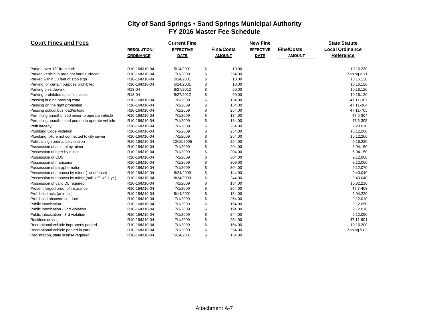| <b>Court Fines and Fees</b>                          |                   | <b>Current Fine</b> |                   | <b>New Fine</b>  |                   | <b>State Statute</b>   |
|------------------------------------------------------|-------------------|---------------------|-------------------|------------------|-------------------|------------------------|
|                                                      | <b>RESOLUTION</b> | <b>EFFECTIVE</b>    | <b>Fine/Costs</b> | <b>EFFECTIVE</b> | <b>Fine/Costs</b> | <b>Local Ordinance</b> |
|                                                      | <b>ORDINANCE</b>  | <b>DATE</b>         | <b>AMOUNT</b>     | <b>DATE</b>      | <b>AMOUNT</b>     | Reference              |
|                                                      |                   |                     |                   |                  |                   |                        |
| Parked over 18" from curb                            | R10-16/M10-04     | 5/14/2001           | \$<br>10.00       |                  |                   | 10.16.230              |
| Parked vehicle in area not hard surfaced             | R10-16/M10-04     | 7/1/2009            | \$<br>254.00      |                  |                   | Zoning 2.11            |
| Parked within 30 feet of stop sign                   | R10-16/M10-04     | 5/14/2001           | \$<br>10.00       |                  |                   | 10.16.120              |
| Parking for certain purpose prohibited               | R10-16/M10-04     | 5/14/2001           | \$<br>10.00       |                  |                   | 10.16.120              |
| Parking on sidewalk                                  | R13-04            | 8/27/2012           | \$<br>60.00       |                  |                   | 10.16.120              |
| Parking prohibited specific places                   | R13-04            | 8/27/2012           | \$<br>60.00       |                  |                   | 10.16.120              |
| Passing in a no passing zone                         | R10-16/M10-04     | 7/1/2009            | \$<br>134.00      |                  |                   | 47 11-307              |
| Passing on the right prohibited                      | R10-16/M10-04     | 7/1/2009            | \$<br>134.00      |                  |                   | 47 11-304              |
| Passing school bus load/unload                       | R10-16/M10-04     | 7/1/2009            | \$<br>254.00      |                  |                   | 47 11-705              |
| Permitting unauthorized minor to operate vehicle     | R10-16/M10-04     | 7/1/2009            | \$<br>134.00      |                  |                   | 47 6-304               |
| Permitting unauthorized person to operate vehicle    | R10-16/M10-04     | 7/1/2009            | \$<br>134.00      |                  |                   | 47 6-305               |
| Petit larceny                                        | R10-16/M10-04     | 7/1/2009            | \$<br>254.00      |                  |                   | 9.20.010               |
| <b>Plumbing Code Violation</b>                       | R10-16/M10-04     | 7/1/2009            | \$<br>254.00      |                  |                   | 15.12.260              |
| Plumbing fixture not connected to city sewer         | R10-16/M10-04     | 7/1/2009            | \$<br>254.00      |                  |                   | 15.12.260              |
| Political sign ordinance violation                   | R10-16/M10-04     | 12/19/2005          | \$<br>254.00      |                  |                   | 9.16.220               |
| Possession of alcohol by minor                       | R10-16/M10-04     | 7/1/2009            | \$<br>204.00      |                  |                   | 5.04.150               |
| Possession of beer by minor                          | R10-16/M10-04     | 7/1/2009            | \$<br>204.00      |                  |                   | 5.04.150               |
| Possession of CDS                                    | R10-16/M10-04     | 7/1/2009            | \$<br>304.00      |                  |                   | 9.12.060               |
| Possession of marijuana                              | R10-16/M10-04     | 7/1/2009            | \$<br>309.00      |                  |                   | 9.12.060               |
| Possession of paraphernalia                          | R10-16/M10-04     | 7/1/2009            | \$<br>304.00      |                  |                   | 9.12.070               |
| Possession of tobacco by minor (1st offense)         | R10-16/M10-04     | 8/24/2009           | \$<br>144.00      |                  |                   | 9.40.040               |
| Possession of tobacco by minor (sub. off. w/l 1 yr.) | R10-16/M10-04     | 8/24/2009           | \$<br>244.00      |                  |                   | 9.40.040               |
| Possession of valid DL required                      | R10-16/M10-04     | 7/1/2009            | \$<br>134.00      |                  |                   | 10.32.210              |
| Present forged proof of insurance                    | R10-16/M10-04     | 7/1/2009            | \$<br>254.00      |                  |                   | 47 7-403               |
| Prohibited acts (animals)                            | R10-16/M10-04     | 5/14/2001           | \$<br>154.00      |                  |                   | 6.04.220               |
| Prohibited obscene conduct                           | R10-16/M10-04     | 7/1/2009            | \$<br>254.00      |                  |                   | 9.12.010               |
| Public intoxication                                  | R10-16/M10-04     | 7/1/2009            | \$<br>154.00      |                  |                   | 9.12.050               |
| Public intoxication - 2nd violation                  | R10-16/M10-04     | 7/1/2009            | \$<br>194.00      |                  |                   | 9.12.010               |
| Public intoxication - 3rd violation                  | R10-16/M10-04     | 7/1/2009            | \$<br>244.00      |                  |                   | 9.12.050               |
| Reckless driving                                     | R10-16/M10-04     | 7/1/2009            | \$<br>254.00      |                  |                   | 47 11-901              |
| Recreational vehicle improperly parked               | R10-16/M10-04     | 7/1/2009            | \$<br>154.00      |                  |                   | 10.16.200              |
| Recreational vehicle parked in yard                  | R10-16/M10-04     | 7/1/2009            | \$<br>254.00      |                  |                   | Zoning 5.03            |
| Registration, state license required                 | R10-16/M10-04     | 5/14/2001           | \$<br>154.00      |                  |                   |                        |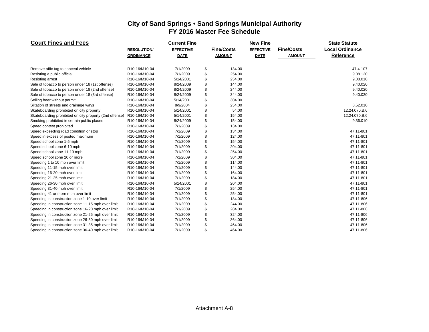| <b>Court Fines and Fees</b>                             |                    | <b>Current Fine</b> |                   | <b>New Fine</b>  |                   | <b>State Statute</b>   |
|---------------------------------------------------------|--------------------|---------------------|-------------------|------------------|-------------------|------------------------|
|                                                         | <b>RESOLUTION/</b> | <b>EFFECTIVE</b>    | <b>Fine/Costs</b> | <b>EFFECTIVE</b> | <b>Fine/Costs</b> | <b>Local Ordinance</b> |
|                                                         | <b>ORDINANCE</b>   | <b>DATE</b>         | <b>AMOUNT</b>     | <b>DATE</b>      | <b>AMOUNT</b>     | Reference              |
| Remove affix tag to conceal vehicle                     | R10-16/M10-04      | 7/1/2009            | \$<br>134.00      |                  |                   | 474--107               |
| Resisting a public official                             | R10-16/M10-04      | 7/1/2009            | \$<br>254.00      |                  |                   | 9.08.120               |
| <b>Resisting arrest</b>                                 | R10-16/M10-04      | 5/14/2001           | \$<br>254.00      |                  |                   | 9.08.010               |
| Sale of tobacco to person under 18 (1st offense)        | R10-16/M10-04      | 8/24/2009           | \$<br>144.00      |                  |                   | 9.40.020               |
| Sale of tobacco to person under 18 (2nd offense)        | R10-16/M10-04      | 8/24/2009           | \$<br>244.00      |                  |                   | 9.40.020               |
| Sale of tobacco to person under 18 (3rd offense)        | R10-16/M10-04      | 8/24/2009           | \$<br>344.00      |                  |                   | 9.40.020               |
| Selling beer without permit                             | R10-16/M10-04      | 5/14/2001           | \$<br>304.00      |                  |                   |                        |
| Siltation of streets and drainage ways                  | R10-16/M10-04      | 8/9/2004            | \$<br>254.00      |                  |                   | 8.52.010               |
| Skateboarding prohibited on city property               | R10-16/M10-04      | 5/14/2001           | \$<br>54.00       |                  |                   | 12.24.070.B.6          |
| Skateboarding prohibited on city property (2nd offense) | R10-16/M10-04      | 5/14/2001           | \$<br>154.00      |                  |                   | 12.24.070.B.6          |
| Smoking prohibited in certain public places             | R10-16/M10-04      | 8/24/2009           | \$<br>154.00      |                  |                   | 9.36.010               |
| Speed contest prohibited                                | R10-16/M10-04      | 7/1/2009            | \$<br>134.00      |                  |                   |                        |
| Speed exceeding road condition or stop                  | R10-16/M10-04      | 7/1/2009            | \$<br>134.00      |                  |                   | 47 11-801              |
| Speed in excess of posted maximum                       | R10-16/M10-04      | 7/1/2009            | \$<br>124.00      |                  |                   | 47 11-801              |
| Speed school zone 1-5 mph                               | R10-16/M10-04      | 7/1/2009            | \$<br>154.00      |                  |                   | 47 11-801              |
| Speed school zone 6-10 mph                              | R10-16/M10-04      | 7/1/2009            | \$<br>204.00      |                  |                   | 47 11-801              |
| Speed school zone 11-19 mph                             | R10-16/M10-04      | 7/1/2009            | \$<br>254.00      |                  |                   | 47 11-801              |
| Speed school zone 20 or more                            | R10-16/M10-04      | 7/1/2009            | \$<br>304.00      |                  |                   | 47 11-801              |
| Speeding 1 to 10 mph over limit                         | R10-16/M10-04      | 7/1/2009            | \$<br>114.00      |                  |                   | 47 11-801              |
| Speeding 11-15 mph over limit                           | R10-16/M10-04      | 7/1/2009            | \$<br>144.00      |                  |                   | 47 11-801              |
| Speeding 16-20 mph over limit                           | R10-16/M10-04      | 7/1/2009            | \$<br>164.00      |                  |                   | 47 11-801              |
| Speeding 21-25 mph over limit                           | R10-16/M10-04      | 7/1/2009            | \$<br>184.00      |                  |                   | 47 11-801              |
| Speeding 26-30 mph over limit                           | R10-16/M10-04      | 5/14/2001           | \$<br>204.00      |                  |                   | 47 11-801              |
| Speeding 31-40 mph over limit                           | R10-16/M10-04      | 7/1/2009            | \$<br>254.00      |                  |                   | 47 11-801              |
| Speeding 41 or more mph over limit                      | R10-16/M10-04      | 7/1/2009            | \$<br>254.00      |                  |                   | 47 11-801              |
| Speeding in construction zone 1-10 over limit           | R10-16/M10-04      | 7/1/2009            | \$<br>184.00      |                  |                   | 47 11-806              |
| Speeding in construction zone 11-15 mph over limit      | R10-16/M10-04      | 7/1/2009            | \$<br>244.00      |                  |                   | 47 11-806              |
| Speeding in construction zone 16-20 mph over limit      | R10-16/M10-04      | 7/1/2009            | \$<br>284.00      |                  |                   | 47 11-806              |
| Speeding in construction zone 21-25 mph over limit      | R10-16/M10-04      | 7/1/2009            | \$<br>324.00      |                  |                   | 47 11-806              |
| Speeding in construction zone 26-30 mph over limit      | R10-16/M10-04      | 7/1/2009            | \$<br>364.00      |                  |                   | 47 11-806              |
| Speeding in construction zone 31-35 mph over limit      | R10-16/M10-04      | 7/1/2009            | \$<br>464.00      |                  |                   | 47 11-806              |
| Speeding in construction zone 36-40 mph over limit      | R10-16/M10-04      | 7/1/2009            | \$<br>464.00      |                  |                   | 47 11-806              |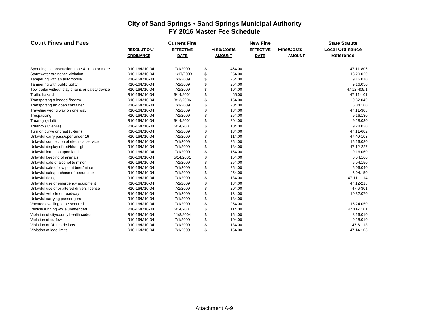| <b>Court Fines and Fees</b>                      |                    | <b>Current Fine</b> |                   | <b>New Fine</b>  |                   | <b>State Statute</b>   |  |  |  |
|--------------------------------------------------|--------------------|---------------------|-------------------|------------------|-------------------|------------------------|--|--|--|
|                                                  | <b>RESOLUTION/</b> | <b>EFFECTIVE</b>    | <b>Fine/Costs</b> | <b>EFFECTIVE</b> | <b>Fine/Costs</b> | <b>Local Ordinance</b> |  |  |  |
|                                                  | <b>ORDINANCE</b>   | <b>DATE</b>         | <b>AMOUNT</b>     | <b>DATE</b>      | <b>AMOUNT</b>     | Reference              |  |  |  |
| Speeding in construction zone 41 mph or more     | R10-16/M10-04      | 7/1/2009            | \$<br>464.00      |                  |                   | 47 11-806              |  |  |  |
| Stormwater ordinance violation                   | R10-16/M10-04      | 11/17/2008          | \$<br>254.00      |                  |                   | 13.20.020              |  |  |  |
| Tampering with an automobile                     | R10-16/M10-04      | 7/1/2009            | \$<br>254.00      |                  |                   | 9.16.010               |  |  |  |
| Tampering with public utility                    | R10-16/M10-04      | 7/1/2009            | \$<br>254.00      |                  |                   | 9.16.050               |  |  |  |
| Tow trailer without stay chains or safety device | R10-16/M10-04      | 7/1/2009            | \$<br>104.00      |                  |                   | 47 12-405.1            |  |  |  |
| <b>Traffic hazard</b>                            | R10-16/M10-04      | 5/14/2001           | \$<br>65.00       |                  |                   | 47 11-101              |  |  |  |
| Transporting a loaded firearm                    | R10-16/M10-04      | 3/13/2006           | \$<br>154.00      |                  |                   | 9.32.040               |  |  |  |
| Transporting an open container                   | R10-16/M10-04      | 7/1/2009            | \$<br>204.00      |                  |                   | 5.04.160               |  |  |  |
| Traveling wrong way on one way                   | R10-16/M10-04      | 7/1/2009            | \$<br>134.00      |                  |                   | 47 11-308              |  |  |  |
| Trespassing                                      | R10-16/M10-04      | 7/1/2009            | \$<br>254.00      |                  |                   | 9.16.130               |  |  |  |
| Truancy (adult)                                  | R10-16/M10-04      | 5/14/2001           | \$<br>204.00      |                  |                   | 9.28.030               |  |  |  |
| Truancy (juvenile)                               | R10-16/M10-04      | 5/14/2001           | \$<br>104.00      |                  |                   | 9.28.030               |  |  |  |
| Turn on curve or crest (u-turn)                  | R10-16/M10-04      | 7/1/2009            | \$<br>134.00      |                  |                   | 47 11-602              |  |  |  |
| Unlawful carry pass/oper under 16                | R10-16/M10-04      | 7/1/2009            | \$<br>114.00      |                  |                   | 47 40-103              |  |  |  |
| Unlawful connection of electrical service        | R10-16/M10-04      | 7/1/2009            | \$<br>254.00      |                  |                   | 15.16.080              |  |  |  |
| Unlawful display of red/blue light               | R10-16/M10-04      | 7/1/2009            | \$<br>134.00      |                  |                   | 47 12-227              |  |  |  |
| Unlawful intrusion upon land                     | R10-16/M10-04      | 7/1/2009            | \$<br>154.00      |                  |                   | 9.16.060               |  |  |  |
| Unlawful keeping of animals                      | R10-16/M10-04      | 5/14/2001           | \$<br>154.00      |                  |                   | 6.04.160               |  |  |  |
| Unlawful sale of alcohol to minor                | R10-16/M10-04      | 7/1/2009            | \$<br>254.00      |                  |                   | 5.04.150               |  |  |  |
| Unlawful sale of low point beer/minor            | R10-16/M10-04      | 7/1/2009            | \$<br>254.00      |                  |                   | 5.06.040               |  |  |  |
| Unlawful sale/purchase of beer/minor             | R10-16/M10-04      | 7/1/2009            | \$<br>254.00      |                  |                   | 5.04.150               |  |  |  |
| Unlawful riding                                  | R10-16/M10-04      | 7/1/2009            | \$<br>134.00      |                  |                   | 47 11-1114             |  |  |  |
| Unlawful use of emergency equipment              | R10-16/M10-04      | 7/1/2009            | \$<br>134.00      |                  |                   | 47 12-218              |  |  |  |
| Unlawful use of or altered drivers license       | R10-16/M10-04      | 7/1/2009            | \$<br>204.00      |                  |                   | 47 6-301               |  |  |  |
| Unlawful vehicle on roadway                      | R10-16/M10-04      | 7/1/2009            | \$<br>134.00      |                  |                   | 10.32.070              |  |  |  |
| Unlawful carrying passengers                     | R10-16/M10-04      | 7/1/2009            | \$<br>134.00      |                  |                   |                        |  |  |  |
| Vacated dwelling to be secured                   | R10-16/M10-04      | 7/1/2009            | \$<br>254.00      |                  |                   | 15.24.050              |  |  |  |
| Vehicle running while unattended                 | R10-16/M10-04      | 5/14/2001           | \$<br>114.00      |                  |                   | 47 11-1101             |  |  |  |
| Violation of city/county health codes            | R10-16/M10-04      | 11/8/2004           | \$<br>154.00      |                  |                   | 8.16.010               |  |  |  |
| Violation of curfew                              | R10-16/M10-04      | 7/1/2009            | \$<br>104.00      |                  |                   | 9.28.010               |  |  |  |
| Violation of DL restrictions                     | R10-16/M10-04      | 7/1/2009            | \$<br>134.00      |                  |                   | 476-113                |  |  |  |
| Violation of load limits                         | R10-16/M10-04      | 7/1/2009            | \$<br>154.00      |                  |                   | 47 14-103              |  |  |  |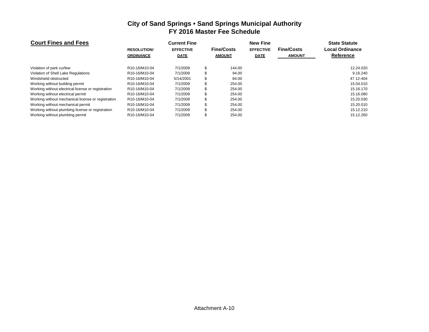| <b>Court Fines and Fees</b>                        |                                         | <b>Current Fine</b> |                   | <b>New Fine</b>  |                   | <b>State Statute</b>   |  |  |  |  |
|----------------------------------------------------|-----------------------------------------|---------------------|-------------------|------------------|-------------------|------------------------|--|--|--|--|
|                                                    | <b>RESOLUTION</b>                       | <b>EFFECTIVE</b>    | <b>Fine/Costs</b> | <b>EFFECTIVE</b> | <b>Fine/Costs</b> | <b>Local Ordinance</b> |  |  |  |  |
|                                                    | <b>ORDINANCE</b>                        | <b>DATE</b>         | <b>AMOUNT</b>     | <b>DATE</b>      | <b>AMOUNT</b>     | <b>Reference</b>       |  |  |  |  |
| Violation of park curfew                           | R <sub>10</sub> -16/M <sub>10</sub> -04 | 7/1/2009            | 144.00            |                  |                   | 12.24.020              |  |  |  |  |
| Violation of Shell Lake Regulations                | R <sub>10</sub> -16/M <sub>10</sub> -04 | 7/1/2009            | 94.00             |                  |                   | 9.16.240               |  |  |  |  |
| Windshield obstructed                              | R10-16/M10-04                           | 5/14/2001           | 84.00             |                  |                   | 47 12-404              |  |  |  |  |
| Working without building permit                    | R <sub>10</sub> -16/M <sub>10</sub> -04 | 7/1/2009            | 254.00            |                  |                   | 15.04.010              |  |  |  |  |
| Working without electrical license or registration | R10-16/M10-04                           | 7/1/2009            | 254.00            |                  |                   | 15.16.170              |  |  |  |  |
| Working without electrical permit                  | R10-16/M10-04                           | 7/1/2009            | 254.00            |                  |                   | 15.16.080              |  |  |  |  |
| Working without mechanical license or registration | R10-16/M10-04                           | 7/1/2009            | 254.00            |                  |                   | 15.20.030              |  |  |  |  |
| Working without mechanical permit                  | R10-16/M10-04                           | 7/1/2009            | 254.00            |                  |                   | 15.20.010              |  |  |  |  |
| Working without plumbing license or registration   | R10-16/M10-04                           | 7/1/2009            | 254.00            |                  |                   | 15.12.210              |  |  |  |  |
| Working without plumbing permit                    | R <sub>10</sub> -16/M <sub>10</sub> -04 | 7/1/2009            | 254.00            |                  |                   | 15.12.260              |  |  |  |  |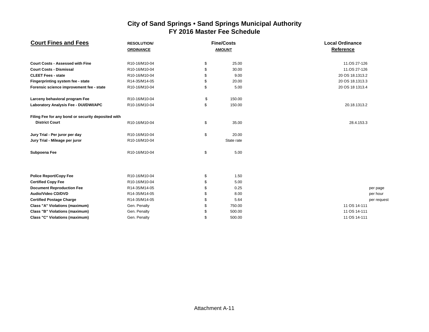| <b>Court Fines and Fees</b>                        | <b>RESOLUTION/</b> | <b>Fine/Costs</b> | <b>Local Ordinance</b> |  |  |  |  |  |
|----------------------------------------------------|--------------------|-------------------|------------------------|--|--|--|--|--|
|                                                    | <b>ORDINANCE</b>   | <b>AMOUNT</b>     | Reference              |  |  |  |  |  |
|                                                    |                    |                   |                        |  |  |  |  |  |
| <b>Court Costs - Assessed with Fine</b>            | R10-16/M10-04      | \$<br>25.00       | 11.OS 27-126           |  |  |  |  |  |
| <b>Court Costs - Dismissal</b>                     | R10-16/M10-04      | \$<br>30.00       | 11.0S 27-126           |  |  |  |  |  |
| <b>CLEET Fees - state</b>                          | R10-16/M10-04      | \$<br>9.00        | 20 OS 18.1313.2        |  |  |  |  |  |
| Fingerprinting system fee - state                  | R14-35/M14-05      | \$<br>20.00       | 20 OS 18.1313.3        |  |  |  |  |  |
| Forensic science improvement fee - state           | R10-16/M10-04      | \$<br>5.00        | 20 OS 18 1313.4        |  |  |  |  |  |
| Larceny behavioral program Fee                     | R10-16/M10-04      | \$<br>150.00      |                        |  |  |  |  |  |
| Laboratory Analysis Fee - DUI/DWI/APC              | R10-16/M10-04      | \$<br>150.00      | 20.18.1313.2           |  |  |  |  |  |
| Filing Fee for any bond or security deposited with |                    |                   |                        |  |  |  |  |  |
| <b>District Court</b>                              | R10-16/M10-04      | \$<br>35.00       | 28.4.153.3             |  |  |  |  |  |
| Jury Trial - Per juror per day                     | R10-16/M10-04      | \$<br>20.00       |                        |  |  |  |  |  |
| Jury Trial - Mileage per juror                     | R10-16/M10-04      | State rate        |                        |  |  |  |  |  |
| Subpoena Fee                                       | R10-16/M10-04      | \$<br>5.00        |                        |  |  |  |  |  |
|                                                    |                    |                   |                        |  |  |  |  |  |
| <b>Police Report/Copy Fee</b>                      | R10-16/M10-04      | \$<br>1.50        |                        |  |  |  |  |  |
| <b>Certified Copy Fee</b>                          | R10-16/M10-04      | \$<br>5.00        |                        |  |  |  |  |  |
| <b>Document Reproduction Fee</b>                   | R14-35/M14-05      | \$<br>0.25        | per page               |  |  |  |  |  |
| <b>Audio/Video CD/DVD</b>                          | R14-35/M14-05      | \$<br>8.00        | per hour               |  |  |  |  |  |
| <b>Certified Postage Charge</b>                    | R14-35/M14-05      | \$<br>5.64        | per reques             |  |  |  |  |  |
| <b>Class "A" Violations (maximum)</b>              | Gen. Penalty       | \$<br>750.00      | 11 OS 14-111           |  |  |  |  |  |
| <b>Class "B" Violations (maximum)</b>              | Gen. Penalty       | \$<br>500.00      | 11 OS 14-111           |  |  |  |  |  |
| <b>Class "C" Violations (maximum)</b>              | Gen. Penalty       | \$<br>500.00      | 11 OS 14-111           |  |  |  |  |  |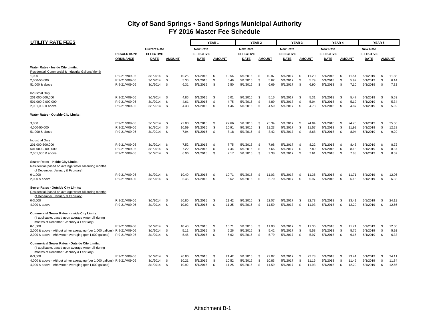| <b>UTILITY RATE FEES</b>                                                                                     |                    |                                         | YEAR <sub>1</sub>   |                                     |               | YEAR <sub>2</sub> |                                     |          | YEAR <sub>3</sub> | YEAR <sub>4</sub>                   |             | <b>YEAR 5</b> |                                     |              |               |                                     |                |               |
|--------------------------------------------------------------------------------------------------------------|--------------------|-----------------------------------------|---------------------|-------------------------------------|---------------|-------------------|-------------------------------------|----------|-------------------|-------------------------------------|-------------|---------------|-------------------------------------|--------------|---------------|-------------------------------------|----------------|---------------|
|                                                                                                              | <b>RESOLUTION/</b> | <b>Current Rate</b><br><b>EFFECTIVE</b> |                     | <b>New Rate</b><br><b>EFFECTIVE</b> |               |                   | <b>New Rate</b><br><b>EFFECTIVE</b> |          |                   | <b>New Rate</b><br><b>EFFECTIVE</b> |             |               | <b>New Rate</b><br><b>EFFECTIVE</b> |              |               | <b>New Rate</b><br><b>EFFECTIVE</b> |                |               |
|                                                                                                              | <b>ORDINANCE</b>   | <b>DATE</b>                             | <u>AMOUNT</u>       | <u>DATE</u>                         | <b>AMOUNT</b> |                   | <b>DATE</b>                         |          | <b>AMOUNT</b>     | <b>DATE</b>                         |             | <b>AMOUNT</b> | <b>DATE</b>                         |              | <b>AMOUNT</b> | <b>DATE</b>                         |                | <b>AMOUNT</b> |
| Water Rates - Inside City Limits:                                                                            |                    |                                         |                     |                                     |               |                   |                                     |          |                   |                                     |             |               |                                     |              |               |                                     |                |               |
| Residential, Commercial & Industrial Gallons/Month                                                           |                    |                                         |                     |                                     |               |                   |                                     |          |                   |                                     |             |               |                                     |              |               |                                     |                |               |
| 1,000                                                                                                        | R 9-21/M09-06      | 3/1/2014                                | \$<br>10.25         | 5/1/2015                            | - \$          | 10.56             | 5/1/2016                            | Ŝ.       | 10.87             | 5/1/2017                            | \$          | 11.20         | 5/1/2018                            | \$           | 11.54         | 5/1/2019                            | - \$           | 11.88         |
| 2,000-50,000                                                                                                 | R 9-21/M09-06      | 3/1/2014                                | \$<br>5.30          | 5/1/2015                            | \$            | 5.46              | 5/1/2016                            | \$       | 5.62              | 5/1/2017                            | $\mathbf S$ | 5.79          | 5/1/2018                            | \$           | 5.97          | 5/1/2019                            | S              | 6.14          |
| 51,000 & above                                                                                               | R 9-21/M09-06      | 3/1/2014                                | \$<br>6.31          | 5/1/2015                            | \$            | 6.50              | 5/1/2016                            | \$       | 6.69              | 5/1/2017                            | \$          | 6.90          | 5/1/2018                            | <b>S</b>     | 7.10          | 5/1/2019                            | \$             | 7.32          |
| <b>Industrial Only</b>                                                                                       |                    |                                         |                     |                                     |               |                   |                                     |          |                   |                                     |             |               |                                     |              |               |                                     |                |               |
| 201,000-500,000                                                                                              | R 9-21/M09-06      | 3/1/2014                                | - \$<br>4.86        | 5/1/2015                            | - \$          | 5.01              | 5/1/2016                            | \$       | 5.16              | 5/1/2017                            | -S          | 5.31          | 5/1/2018                            | -S           | 5.47          | 5/1/2019                            | - \$           | 5.63          |
| 501,000-2,000,000                                                                                            | R 9-21/M09-06      | 3/1/2014                                | \$<br>4.61          | 5/1/2015                            | \$            | 4.75              | 5/1/2016                            | \$       | 4.89              | 5/1/2017                            | \$          | 5.04          | 5/1/2018                            | \$           | 5.19          | 5/1/2019                            | \$             | 5.34          |
| 2,001,000 & above                                                                                            | R 9-21/M09-06      | 3/1/2014                                | \$<br>4.33          | 5/1/2015                            | \$            | 4.46              | 5/1/2016                            | \$       | 4.59              | 5/1/2017                            | \$          | 4.73          | 5/1/2018                            | \$           | 4.87          | 5/1/2019                            | <b>S</b>       | 5.02          |
| Water Rates - Outside City Limits:                                                                           |                    |                                         |                     |                                     |               |                   |                                     |          |                   |                                     |             |               |                                     |              |               |                                     |                |               |
| 3,000                                                                                                        | R 9-21/M09-06      | 3/1/2014                                | \$<br>22.00         | 5/1/2015                            | \$            | 22.66             | 5/1/2016                            | \$       | 23.34             | 5/1/2017                            | \$          | 24.04         | 5/1/2018                            | \$           | 24.76         | 5/1/2019                            | \$             | 25.50         |
| 4,000-50,000                                                                                                 | R 9-21/M09-06      | 3/1/2014                                | \$<br>10.59         | 5/1/2015                            | \$            | 10.91             | 5/1/2016                            | \$       | 11.23             | 5/1/2017                            | \$          | 11.57         | 5/1/2018                            | \$           | 11.92         | 5/1/2019                            | \$             | 12.28         |
| 51,000 & above                                                                                               | R 9-21/M09-06      | 3/1/2014                                | \$<br>7.94          | 5/1/2015                            | \$            | 8.18              | 5/1/2016                            | \$       | 8.42              | 5/1/2017                            | \$          | 8.68          | 5/1/2018                            | \$           | 8.94          | 5/1/2019                            | \$             | 9.20          |
| <b>Industrial Only</b>                                                                                       |                    |                                         |                     |                                     |               |                   |                                     |          |                   |                                     |             |               |                                     |              |               |                                     |                |               |
| 201,000-500,000                                                                                              | R 9-21/M09-06      | 3/1/2014                                | \$<br>7.52          | 5/1/2015                            | \$            | 7.75              | 5/1/2016                            | \$       | 7.98              | 5/1/2017                            | \$          | 8.22          | 5/1/2018                            | - \$         | 8.46          | 5/1/2019                            | - \$           | 8.72          |
| 501,000-2,000,000                                                                                            | R 9-21/M09-06      | 3/1/2014                                | \$<br>7.22          | 5/1/2015                            | \$            | 7.44              | 5/1/2016                            | \$       | 7.66              | 5/1/2017                            | \$          | 7.89          | 5/1/2018                            | \$           | 8.13          | 5/1/2019                            | \$             | 8.37          |
| 2,001,000 & above                                                                                            | R 9-21/M09-06      | 3/1/2014                                | <b>S</b><br>6.96    | 5/1/2015                            | \$            | 7.17              | 5/1/2016                            | <b>S</b> | 7.38              | 5/1/2017                            | \$          | 7.61          | 5/1/2018                            | <b>S</b>     | 7.83          | 5/1/2019                            | <b>S</b>       | 8.07          |
| Sewer Rates - Inside City Limits:                                                                            |                    |                                         |                     |                                     |               |                   |                                     |          |                   |                                     |             |               |                                     |              |               |                                     |                |               |
| Residential (based on average water bill during months)<br>of December, January & February)                  |                    |                                         |                     |                                     |               |                   |                                     |          |                   |                                     |             |               |                                     |              |               |                                     |                |               |
| $0-1,000$                                                                                                    | R 9-21/M09-06      | 3/1/2014                                | \$<br>10.40         | 5/1/2015                            | \$            | 10.71             | 5/1/2016                            | -S       | 11.03             | 5/1/2017                            | - \$        | 11.36         | 5/1/2018                            | - \$         | 11.71         | 5/1/2019                            | - \$           | 12.06         |
| 2,000 & above                                                                                                | R 9-21/M09-06      | 3/1/2014                                | \$<br>5.46          | 5/1/2015                            | \$            | 5.62              | 5/1/2016                            | -S       | 5.79              | 5/1/2017                            | - \$        | 5.97          | 5/1/2018                            | S.           | 6.15          | 5/1/2019                            | - \$           | 6.33          |
| Sewer Rates - Outside City Limits:                                                                           |                    |                                         |                     |                                     |               |                   |                                     |          |                   |                                     |             |               |                                     |              |               |                                     |                |               |
| Residential (based on average water bill during months                                                       |                    |                                         |                     |                                     |               |                   |                                     |          |                   |                                     |             |               |                                     |              |               |                                     |                |               |
| of December, January & February)                                                                             |                    |                                         |                     |                                     |               |                   |                                     |          |                   |                                     |             |               |                                     |              |               |                                     |                |               |
| $0 - 3,000$                                                                                                  | R 9-21/M09-06      | 3/1/2014                                | \$<br>20.80         | 5/1/2015                            | \$            | 21.42             | 5/1/2016                            | -S       | 22.07             | 5/1/2017                            | -\$         | 22.73         | 5/1/2018                            | -S           | 23.41         | 5/1/2019                            | - \$           | 24.11         |
| 4,000 & above                                                                                                | R 9-21/M09-06      | 3/1/2014                                | $^{\circ}$<br>10.92 | 5/1/2015                            | \$            | 11.25             | 5/1/2016                            | <b>S</b> | 11.59             | 5/1/2017                            | S.          | 11.93         | 5/1/2018                            | \$           | 12.29         | 5/1/2019                            | \$             | 12.66         |
| <b>Commercial Sewer Rates - Inside City Limits:</b><br>(If applicable, based upon average water bill during  |                    |                                         |                     |                                     |               |                   |                                     |          |                   |                                     |             |               |                                     |              |               |                                     |                |               |
| months of December, January & February)                                                                      |                    |                                         |                     |                                     |               |                   |                                     |          |                   |                                     |             |               |                                     |              |               |                                     |                |               |
| $0-1,000$                                                                                                    | R 9-21/M09-06      | 3/1/2014                                | -\$<br>10.40        | 5/1/2015                            | \$            | 10.71             | 5/1/2016                            | -S       | 11.03             | 5/1/2017                            | \$          | 11.36         | 5/1/2018                            | \$           | 11.71         | 5/1/2019                            | - \$           | 12.06         |
| 2,000 & above - without winter averaging (per 1,000 gallons) R 9-21/M09-06                                   |                    | 3/1/2014                                | \$<br>5.11          | 5/1/2015                            | \$            | 5.26              | 5/1/2016                            | Ŝ.       | 5.42              | 5/1/2017                            | \$          | 5.58          | 5/1/2018                            | \$           | 5.75          | 5/1/2019                            | \$             | 5.92          |
| 2,000 & above - with winter averaging (per 1,000 gallons)                                                    | R 9-21/M09-06      | 3/1/2014                                | -\$<br>5.46         | 5/1/2015                            | \$            | 5.62              | 5/1/2016                            | \$       | 5.79              | 5/1/2017                            | \$          | 5.97          | 5/1/2018                            | $\mathbf{s}$ | 6.15          | 5/1/2019                            | $\mathfrak{S}$ | 6.33          |
| <b>Commerical Sewer Rates - Outside City Limits:</b><br>(If applicable, based upon average water bill during |                    |                                         |                     |                                     |               |                   |                                     |          |                   |                                     |             |               |                                     |              |               |                                     |                |               |
| months of December, January & February)                                                                      |                    |                                         |                     |                                     |               |                   |                                     |          |                   |                                     |             |               |                                     |              |               |                                     |                |               |
| $0 - 3,000$                                                                                                  | R 9-21/M09-06      | 3/1/2014                                | \$<br>20.80         | 5/1/2015                            | -\$           | 21.42             | 5/1/2016                            | - \$     | 22.07             | 5/1/2017                            | \$          | 22.73         | 5/1/2018                            | - \$         | 23.41         | 5/1/2019                            | \$             | 24.11         |
| 4,000 & above - without winter averaging (per 1,000 gallons) R 9-21/M09-06                                   |                    | 3/1/2014                                | <b>S</b><br>10.21   | 5/1/2015                            | \$            | 10.52             | 5/1/2016                            | \$       | 10.83             | 5/1/2017                            | \$          | 11.16         | 5/1/2018                            | \$           | 11.49         | 5/1/2019                            | <b>S</b>       | 11.84         |
| 4,000 & above - with winter averaging (per 1,000 gallons)                                                    |                    | 3/1/2014                                | - \$<br>10.92       | 5/1/2015                            | \$            | 11.25             | 5/1/2016                            | \$       | 11.59             | 5/1/2017                            | \$          | 11.93         | 5/1/2018                            | \$           | 12.29         | 5/1/2019                            | \$             | 12.66         |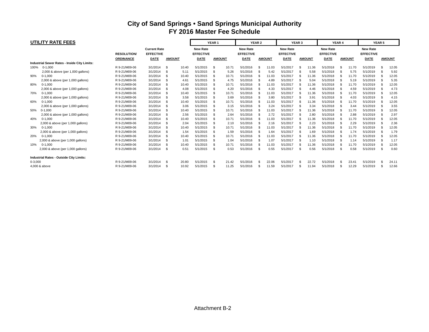|             | <b>UTILITY RATE FEES</b>                       |                   |                                         |               |       | YEAR <sub>1</sub>                   |               |       | YEAR 2                              |     |               | <b>YEAR 3</b>                       |    |                                     | YEAR <sub>4</sub>            |    |       | <b>YEAR 5</b>                       |      |               |  |
|-------------|------------------------------------------------|-------------------|-----------------------------------------|---------------|-------|-------------------------------------|---------------|-------|-------------------------------------|-----|---------------|-------------------------------------|----|-------------------------------------|------------------------------|----|-------|-------------------------------------|------|---------------|--|
|             |                                                | <b>RESOLUTION</b> | <b>Current Rate</b><br><b>EFFECTIVE</b> |               |       | <b>New Rate</b><br><b>EFFECTIVE</b> |               |       | <b>New Rate</b><br><b>EFFECTIVE</b> |     |               | <b>New Rate</b><br><b>EFFECTIVE</b> |    | <b>New Rate</b><br><b>EFFECTIVE</b> |                              |    |       | <b>New Rate</b><br><b>EFFECTIVE</b> |      |               |  |
|             |                                                | <b>ORDINANCE</b>  | <b>DATE</b>                             | <b>AMOUNT</b> |       | DATE                                | <b>AMOUNT</b> |       | <b>DATE</b>                         |     | <b>AMOUNT</b> | DATE                                |    | <b>AMOUNT</b>                       | <b>DATE</b><br><b>AMOUNT</b> |    |       | <b>DATE</b>                         |      | <b>AMOUNT</b> |  |
|             | Industrial Sewer Rates - Inside City Limits:   |                   |                                         |               |       |                                     |               |       |                                     |     |               |                                     |    |                                     |                              |    |       |                                     |      |               |  |
| 100%        | $0 - 1.000$                                    | R 9-21/M09-06     | 3/1/2014                                | £.            | 10.40 | 5/1/2015                            | \$.           | 10.71 | 5/1/2016                            | S   | 11.03         | 5/1/2017                            |    | 11.36                               | 5/1/2018                     |    | 11.70 | 5/1/2019                            |      | 12.05         |  |
|             | 2,000 & above (per 1,000 gallons)              | R 9-21/M09-06     | 3/1/2014                                | \$            | 5.11  | 5/1/2015                            | \$            | 5.26  | 5/1/2016                            | \$  | 5.42          | 5/1/2017                            |    | 5.58                                | 5/1/2018                     |    | 5.75  | 5/1/2019                            |      | 5.92          |  |
| 90%         | $0 - 1.000$                                    | R 9-21/M09-06     | 3/1/2014                                | £.            | 10.40 | 5/1/2015                            |               | 10.71 | 5/1/2016                            |     | 11.03         | 5/1/2017                            |    | 11.36                               | 5/1/2018                     |    | 11.70 | 5/1/2019                            |      | 12.05         |  |
|             | 2,000 & above (per 1,000 gallons)              | R 9-21/M09-06     | 3/1/2014                                | \$            | 4.61  | 5/1/2015                            | \$.           | 4.75  | 5/1/2016                            |     | 4.89          | 5/1/2017                            |    | 5.04                                | 5/1/2018                     |    | 5.19  | 5/1/2019                            |      | 5.35          |  |
| 80%         | $0-1,000$                                      | R 9-21/M09-06     | 3/1/2014                                | \$            | 10.40 | 5/1/2015                            | \$.           | 10.71 | 5/1/2016                            | \$  | 11.03         | 5/1/2017                            |    | 11.36                               | 5/1/2018                     | £. | 11.70 | 5/1/2019                            | -96  | 12.05         |  |
|             | 2,000 & above (per 1,000 gallons)              | R 9-21/M09-06     | 3/1/2014                                | £.            | 4.08  | 5/1/2015                            | \$            | 4.20  | 5/1/2016                            |     | 4.33          | 5/1/2017                            |    | 4.46                                | 5/1/2018                     |    | 4.59  | 5/1/2019                            | -9   | 4.73          |  |
| 70%         | $0-1,000$                                      | R 9-21/M09-06     | 3/1/2014                                | £.            | 10.40 | 5/1/2015                            | \$.           | 10.71 | 5/1/2016                            | \$  | 11.03         | 5/1/2017                            |    | 11.36                               | 5/1/2018                     | .S | 11.70 | 5/1/2019                            |      | 12.05         |  |
|             | 2,000 & above (per 1,000 gallons)              | R 9-21/M09-06     | 3/1/2014                                | £.            | 3.58  | 5/1/2015                            | \$            | 3.69  | 5/1/2016                            | \$. | 3.80          | 5/1/2017                            |    | 3.91                                | 5/1/2018                     |    | 4.03  | 5/1/2019                            |      | 4.15          |  |
| 60%         | $0-1,000$                                      | R 9-21/M09-06     | 3/1/2014                                |               | 10.40 | 5/1/2015                            |               | 10.71 | 5/1/2016                            |     | 11.03         | 5/1/2017                            |    | 11.36                               | 5/1/2018                     |    | 11.70 | 5/1/2019                            |      | 12.05         |  |
|             | 2,000 & above (per 1,000 gallons)              | R 9-21/M09-06     | 3/1/2014                                |               | 3.06  | 5/1/2015                            |               | 3.15  | 5/1/2016                            |     | 3.24          | 5/1/2017                            |    | 3.34                                | 5/1/2018                     |    | 3.44  | 5/1/2019                            |      | 3.55          |  |
| 50%         | $0-1,000$                                      | R 9-21/M09-06     | 3/1/2014                                | \$            | 10.40 | 5/1/2015                            |               | 10.71 | 5/1/2016                            |     | 11.03         | 5/1/2017                            |    | 11.36                               | 5/1/2018                     |    | 11.70 | 5/1/2019                            |      | 12.05         |  |
|             | 2,000 & above (per 1,000 gallons)              | R 9-21/M09-06     | 3/1/2014                                | \$            | 2.56  | 5/1/2015                            |               | 2.64  | 5/1/2016                            |     | 2.72          | 5/1/2017                            |    | 2.80                                | 5/1/2018                     |    | 2.88  | 5/1/2019                            |      | 2.97          |  |
| 40%         | $0-1,000$                                      | R 9-21/M09-06     | 3/1/2014                                | \$            | 10.40 | 5/1/2015                            | \$.           | 10.71 | 5/1/2016                            |     | 11.03         | 5/1/2017                            |    | 11.36                               | 5/1/2018                     | -5 | 11.70 | 5/1/2019                            | - 95 | 12.05         |  |
|             | 2,000 & above (per 1,000 gallons)              | R 9-21/M09-06     | 3/1/2014                                | \$            | 2.04  | 5/1/2015                            |               | 2.10  | 5/1/2016                            |     | 2.16          | 5/1/2017                            |    | 2.23                                | 5/1/2018                     |    | 2.29  | 5/1/2019                            |      | 2.36          |  |
| 30%         | $0 - 1,000$                                    | R 9-21/M09-06     | 3/1/2014                                | £.            | 10.40 | 5/1/2015                            | £.            | 10.71 | 5/1/2016                            |     | 11.03         | 5/1/2017                            |    | 11.36                               | 5/1/2018                     | S  | 11.70 | 5/1/2019                            |      | 12.05         |  |
|             | 2,000 & above (per 1,000 gallons)              | R 9-21/M09-06     | 3/1/2014                                | £.            | 1.54  | 5/1/2015                            |               | 1.59  | 5/1/2016                            |     | 1.64          | 5/1/2017                            |    | 1.69                                | 5/1/2018                     |    | 1.74  | 5/1/2019                            |      | 1.79          |  |
| 20%         | $0 - 1.000$                                    | R 9-21/M09-06     | 3/1/2014                                | £.            | 10.40 | 5/1/2015                            | \$.           | 10.71 | 5/1/2016                            | £.  | 11.03         | 5/1/2017                            |    | 11.36                               | 5/1/2018                     | -5 | 11.70 | 5/1/2019                            |      | 12.05         |  |
|             | 2,000 & above (per 1,000 gallons)              | R 9-21/M09-06     | 3/1/2014                                | £.            | 1.01  | 5/1/2015                            |               | 1.04  | 5/1/2016                            |     | 1.07          | 5/1/2017                            |    | 1.10                                | 5/1/2018                     |    | 1.14  | 5/1/2019                            | - \$ | 1.17          |  |
| 10%         | $0 - 1,000$                                    | R 9-21/M09-06     | 3/1/2014                                |               | 10.40 | 5/1/2015                            |               | 10.71 | 5/1/2016                            |     | 11.03         | 5/1/2017                            |    | 11.36                               | 5/1/2018                     |    | 11.70 | 5/1/2019                            |      | 12.05         |  |
|             | 2,000 & above (per 1,000 gallons)              | R 9-21/M09-06     | 3/1/2014                                | - \$          | 0.51  | 5/1/2015                            | \$.           | 0.53  | 5/1/2016                            | \$. | 0.55          | 5/1/2017                            | £. | 0.56                                | 5/1/2018                     | S. | 0.58  | 5/1/2019                            | - \$ | 0.60          |  |
|             | <b>Industrial Rates - Outside City Limits:</b> |                   |                                         |               |       |                                     |               |       |                                     |     |               |                                     |    |                                     |                              |    |       |                                     |      |               |  |
| $0 - 3,000$ |                                                | R 9-21/M09-06     | 3/1/2014                                | £.            | 20.80 | 5/1/2015                            | \$.           | 21.42 | 5/1/2016                            |     | 22.06         | 5/1/2017                            |    | 22.72                               | 5/1/2018                     |    | 23.41 | 5/1/2019                            |      | 24.11         |  |
|             | 4.000 & above                                  | R 9-21/M09-06     | 3/1/2014                                | \$            | 10.92 | 5/1/2015                            | \$.           | 11.25 | 5/1/2016                            | \$. | 11.59         | 5/1/2017                            |    | 11.94                               | 5/1/2018                     | S. | 12.29 | 5/1/2019                            | - \$ | 12.66         |  |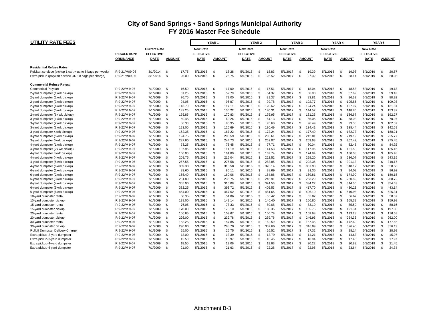| <b>UTILITY RATE FEES</b>                                  |                   |                     |                          | YEAR <sub>1</sub> |                | YEAR <sub>2</sub> |                  | YEAR <sub>3</sub> |               | YEAR 4           |                |               | <b>YEAR 5</b>    |              |               |                  |                |               |
|-----------------------------------------------------------|-------------------|---------------------|--------------------------|-------------------|----------------|-------------------|------------------|-------------------|---------------|------------------|----------------|---------------|------------------|--------------|---------------|------------------|----------------|---------------|
|                                                           |                   | <b>Current Rate</b> |                          | <b>New Rate</b>   |                |                   | <b>New Rate</b>  |                   |               | <b>New Rate</b>  |                |               | <b>New Rate</b>  |              |               | <b>New Rate</b>  |                |               |
|                                                           | <b>RESOLUTION</b> | <b>EFFECTIVE</b>    |                          | <b>EFFECTIVE</b>  |                |                   | <b>EFFECTIVE</b> |                   |               | <b>EFFECTIVE</b> |                |               | <b>EFFECTIVE</b> |              |               | <b>EFFECTIVE</b> |                |               |
|                                                           | <b>ORDINANCE</b>  | <b>DATE</b>         | <b>AMOUNT</b>            | <b>DATE</b>       | <b>AMOUNT</b>  |                   | <b>DATE</b>      |                   | <b>AMOUNT</b> | <b>DATE</b>      |                | <b>AMOUNT</b> | <b>DATE</b>      |              | <b>AMOUNT</b> | <b>DATE</b>      |                | <b>AMOUNT</b> |
| <b>Residential Refuse Rates:</b>                          |                   |                     |                          |                   |                |                   |                  |                   |               |                  |                |               |                  |              |               |                  |                |               |
| Polykart serviuce (pickup 1 cart + up to 8 bags per week) | R 9-21/M09-06     | 3/1/2014            | - \$<br>17.75            | 5/1/2015          | \$             | 18.28             | 5/1/2016         | -S                | 18.83         | 5/1/2017         | \$             | 19.39         | 5/1/2018         | -S           | 19.98         | 5/1/2019         | \$             | 20.57         |
| Extra pickup (polykart service OR 10 bags per charge)     | R 9-21/M09-06     | 3/1/2014            | \$<br>25.00              | 5/1/2015          | \$.            | 25.75             | 5/1/2016         | <b>S</b>          | 26.52         | 5/1/2017         | $\mathfrak{s}$ | 27.32         | 5/1/2018         | S.           | 28.14         | 5/1/2019         | \$             | 28.98         |
| <b>Commercial Refuse Rates:</b>                           |                   |                     |                          |                   |                |                   |                  |                   |               |                  |                |               |                  |              |               |                  |                |               |
| <b>Commerical Polykart</b>                                | R 9-22/M 9-07     | 7/1/2009            | -\$<br>16.50             | 5/1/2015          | \$             | 17.00             | 5/1/2016         | <b>S</b>          | 17.51         | 5/1/2017         | \$             | 18.04         | 5/1/2018         | Ŝ.           | 18.58         | 5/1/2019         | \$             | 19.13         |
| 2-yard dumpster (1xwk pickup)                             | R 9-22/M 9-07     | 7/1/2009            | \$<br>51.25              | 5/1/2015          | \$             | 52.79             | 5/1/2016         | $\mathbf{s}$      | 54.37         | 5/1/2017         | \$             | 56.00         | 5/1/2018         | $\mathbf{s}$ | 57.69         | 5/1/2019         | \$             | 59.42         |
| 2-yard dumpster (2xwk pickup)                             | R 9-22/M 9-07     | 7/1/2009            | <sub>\$</sub><br>76.70   | 5/1/2015          | $\mathfrak{L}$ | 79.00             | 5/1/2016         | <b>S</b>          | 81.37         | 5/1/2017         | \$             | 83.81         | 5/1/2018         | <b>S</b>     | 86.33         | 5/1/2019         | $\mathfrak{L}$ | 88.92         |
| 2-yard dumpster (3xwk pickup)                             | R 9-22/M 9-07     | 7/1/2009            | <sup>\$</sup><br>94.05   | 5/1/2015          | $\mathfrak{L}$ | 96.87             | 5/1/2016         | <b>S</b>          | 99.78         | 5/1/2017         | \$             | 102.77        | 5/1/2018         | <b>S</b>     | 105.85        | 5/1/2019         | \$             | 109.03        |
| 2-yard dumpster (4xwk pickup)                             | R 9-22/M 9-07     | 7/1/2009            | <sub>\$</sub><br>113.70  | 5/1/2015          | \$             | 117.11            | 5/1/2016         | <b>S</b>          | 120.62        | 5/1/2017         | $\mathfrak{s}$ | 124.24        | 5/1/2018         | <b>S</b>     | 127.97        | 5/1/2019         | \$             | 131.81        |
| 2-yard dumpster (5xwk pickup)                             | R 9-22/M 9-07     | 7/1/2009            | \$<br>132.25             | 5/1/2015          | \$             | 136.22            | 5/1/2016         | S                 | 140.31        | 5/1/2017         | \$             | 144.52        | 5/1/2018         | <b>S</b>     | 148.85        | 5/1/2019         | \$             | 153.32        |
| 2-yard dumpster (6x wk pickup)                            | R 9-22/M 9-07     | 7/1/2009            | \$<br>165.85             | 5/1/2015          | \$             | 170.83            | 5/1/2016         | \$                | 175.95        | 5/1/2017         | \$             | 181.23        | 5/1/2018         | Ŝ.           | 186.67        | 5/1/2019         | \$             | 192.27        |
| 3-yard dumpster (1xwk pickup)                             | R 9-22/M 9-07     | 7/1/2009            | -S<br>60.45              | 5/1/2015          | \$             | 62.26             | 5/1/2016         | <b>S</b>          | 64.13         | 5/1/2017         | \$             | 66.05         | 5/1/2018         | Ŝ.           | 68.03         | 5/1/2019         | \$             | 70.07         |
| 3-yard dumpster (2xwk pickup)                             | R 9-22/M 9-07     | 7/1/2009            | <sup>\$</sup><br>88.30   | 5/1/2015          | $\mathfrak{L}$ | 90.95             | 5/1/2016         | \$                | 93.68         | 5/1/2017         | \$             | 96.49         | 5/1/2018         | -S           | 99.38         | 5/1/2019         | $\mathfrak{L}$ | 102.37        |
| 3-yard dumpster (3xwk pickup)                             | R 9-22/M 9-07     | 7/1/2009            | - \$<br>123.00           | 5/1/2015          | \$             | 126.69            | 5/1/2016         | S                 | 130.49        | 5/1/2017         | \$             | 134.41        | 5/1/2018         | -S           | 138.44        | 5/1/2019         | \$.            | 142.59        |
| 3-yard dumpster 4xwk pickup)                              | R 9-22/M 9-07     | 7/1/2009            | -S<br>162.35             | 5/1/2015          | \$             | 167.22            | 5/1/2016         | -S                | 172.24        | 5/1/2017         | \$             | 177.40        | 5/1/2018         | -S           | 182.73        | 5/1/2019         | \$.            | 188.21        |
| 3-yard dumpster (5xwk pickup)                             | R 9-22/M 9-07     | 7/1/2009            | - \$<br>194.75           | 5/1/2015          | \$             | 200.59            | 5/1/2016         | \$                | 206.61        | 5/1/2017         | \$             | 212.81        | 5/1/2018         | <b>S</b>     | 219.19        | 5/1/2019         | \$.            | 225.77        |
| 3-yard dumpster 6xwk pickup)                              | R 9-22/M 9-07     | 7/1/2009            | <sup>\$</sup><br>237.60  | 5/1/2015          | \$             | 244.73            | 5/1/2016         | \$                | 252.07        | 5/1/2017         | \$             | 259.63        | 5/1/2018         | Ŝ.           | 267.42        | 5/1/2019         | \$             | 275.45        |
| 4-yard dumpster (1xwk pickup)                             | R 9-22/M 9-07     | 7/1/2009            | - \$<br>73.25            | 5/1/2015          | \$.            | 75.45             | 5/1/2016         | \$                | 77.71         | 5/1/2017         | $\mathbf{s}$   | 80.04         | 5/1/2018         | -S           | 82.45         | 5/1/2019         | \$.            | 84.92         |
| 4-yard dumpster (2x wk pickup)                            | R 9-22/M 9-07     | 7/1/2009            | -S<br>107.95             | 5/1/2015          | \$             | 111.19            | 5/1/2016         | -S                | 114.53        | 5/1/2017         | $\mathbf{s}$   | 117.96        | 5/1/2018         | -S           | 121.50        | 5/1/2019         | \$.            | 125.15        |
| 4-yard dumpster 3xwk pickup)                              | R 9-22/M 9-07     | 7/1/2009            | \$<br>160.00             | 5/1/2015          | \$             | 164.80            | 5/1/2016         | S                 | 169.74        | 5/1/2017         | $\mathbf{s}$   | 174.84        | 5/1/2018         | S.           | 180.08        | 5/1/2019         | \$.            | 185.48        |
| 4-yard dumpster (4xwk pickup)                             | R 9-22/M 9-07     | 7/1/2009            | -S<br>209.75             | 5/1/2015          | \$             | 216.04            | 5/1/2016         | \$                | 222.52        | 5/1/2017         | \$             | 229.20        | 5/1/2018         | <b>S</b>     | 236.07        | 5/1/2019         | \$.            | 243.15        |
| 4-yard dumpster (5xwk pickup)                             | R 9-22/M 9-07     | 7/1/2009            | \$<br>267.55             | 5/1/2015          | \$             | 275.58            | 5/1/2016         | $\mathfrak{L}$    | 283.85        | 5/1/2017         | $\mathbf{s}$   | 292.36        | 5/1/2018         | \$           | 301.13        | 5/1/2019         | $\mathfrak{L}$ | 310.17        |
| 4-yard dumpster (6xwk pickup)                             | R 9-22/M 9-07     | 7/1/2009            | -S<br>309.30             | 5/1/2015          | <b>S</b>       | 318.58            | 5/1/2016         | \$                | 328.14        | 5/1/2017         | $\mathbf{s}$   | 337.98        | 5/1/2018         | <b>S</b>     | 348.12        | 5/1/2019         | $\mathfrak{L}$ | 358.56        |
| 6-yard dumpster (1xwk pickup)                             | R 9-22/M 9-07     | 7/1/2009            | <b>S</b><br>83.60        | 5/1/2015          | <b>S</b>       | 86.11             | 5/1/2016         | \$                | 88.69         | 5/1/2017         | $\mathbf{s}$   | 91.35         | 5/1/2018         | S.           | 94.09         | 5/1/2019         | $\mathfrak{L}$ | 96.92         |
| 6-yard dumpster (2xwk pickup)                             | R 9-22/M 9-07     | 7/1/2009            | -S<br>155.40             | 5/1/2015          | \$             | 160.06            | 5/1/2016         | -S                | 164.86        | 5/1/2017         | $\mathbf{s}$   | 169.81        | 5/1/2018         | <b>S</b>     | 174.90        | 5/1/2019         | $\mathfrak{L}$ | 180.15        |
| 6-yard dumpster (3xwk pickup)                             | R 9-22/M 9-07     | 7/1/2009            | \$<br>231.80             | 5/1/2015          | \$             | 238.75            | 5/1/2016         | S                 | 245.91        | 5/1/2017         | $\mathbf{s}$   | 253.29        | 5/1/2018         | -S           | 260.89        | 5/1/2019         | $\mathfrak{L}$ | 268.72        |
| 6-yard dumpster (4xwk pickup)                             | R 9-22/M 9-07     | 7/1/2009            | \$<br>305.90             | 5/1/2015          | \$             | 315.08            | 5/1/2016         | -S                | 324.53        | 5/1/2017         | \$             | 334.27        | 5/1/2018         | -S           | 344.30        | 5/1/2019         | \$.            | 354.63        |
| 6-yard dumpster (5xwk pickup)                             | R 9-22/M 9-07     | 7/1/2009            | -S<br>382.25             | 5/1/2015          | \$             | 393.72            | 5/1/2016         | S                 | 405.53        | 5/1/2017         | \$             | 417.70        | 5/1/2018         | Ŝ.           | 430.23        | 5/1/2019         | \$             | 443.14        |
| 6-yard dumpster (6xwk pickup)                             | R 9-22/M 9-07     | 7/1/2009            | $\mathfrak{L}$<br>454.00 | 5/1/2015          | \$.            | 467.62            | 5/1/2016         | \$                | 481.65        | 5/1/2017         | $\mathbf{s}$   | 496.10        | 5/1/2018         | <b>S</b>     | 510.98        | 5/1/2019         | \$.            | 526.31        |
| 10-yard dumpster rental                                   | R 9-22/M 9-07     | 7/1/2009            | \$<br>50.35              | 5/1/2015          | <b>S</b>       | 51.86             | 5/1/2016         | \$                | 53.42         | 5/1/2017         | $\mathbf{s}$   | 55.02         | 5/1/2018         | <b>S</b>     | 56.67         | 5/1/2019         | \$.            | 58.37         |
| 10-yard dumpster pickup                                   | R 9-22/M 9-07     | 7/1/2009            | \$<br>138.00             | 5/1/2015          | \$.            | 142.14            | 5/1/2016         | S                 | 146.40        | 5/1/2017         | \$             | 150.80        | 5/1/2018         | <b>S</b>     | 155.32        | 5/1/2019         | \$.            | 159.98        |
| 15-yard dumpster rental                                   | R 9-22/M 9-07     | 7/1/2009            | \$<br>76.05              | 5/1/2015          | Ŝ.             | 78.33             | 5/1/2016         | <b>S</b>          | 80.68         | 5/1/2017         | \$             | 83.10         | 5/1/2018         | Ŝ.           | 85.59         | 5/1/2019         | \$             | 88.16         |
| 15-yard dumpster pickup                                   | R 9-22/M 9-07     | 7/1/2009            | - \$<br>170.00           | 5/1/2015          | \$             | 175.10            | 5/1/2016         | S                 | 180.35        | 5/1/2017         | \$             | 185.76        | 5/1/2018         | <b>S</b>     | 191.34        | 5/1/2019         | \$             | 197.08        |
| 20-yard dumpster rental                                   | R 9-22/M 9-07     | 7/1/2009            | \$<br>100.65             | 5/1/2015          | \$             | 103.67            | 5/1/2016         | \$                | 106.78        | 5/1/2017         | \$             | 109.98        | 5/1/2018         | $\mathbf{s}$ | 113.28        | 5/1/2019         | \$             | 116.68        |
| 20-yard dumpster pickup                                   | R 9-22/M 9-07     | 7/1/2009            | -S<br>226.00             | 5/1/2015          | \$             | 232.78            | 5/1/2016         | \$                | 239.76        | 5/1/2017         | $\mathfrak{s}$ | 246.96        | 5/1/2018         | <b>S</b>     | 254.36        | 5/1/2019         | $\mathfrak{L}$ | 262.00        |
| 30-yard dumpster rental                                   | R 9-22/M 9-07     | 7/1/2009            | -S<br>153.25             | 5/1/2015          | \$             | 157.85            | 5/1/2016         | \$                | 162.59        | 5/1/2017         | \$             | 167.46        | 5/1/2018         | -S           | 172.49        | 5/1/2019         | \$             | 177.66        |
| 30-yard dumpster pickup                                   | R 9-22/M 9-07     | 7/1/2009            | <sup>\$</sup><br>290.00  | 5/1/2015          | Ŝ.             | 298.70            | 5/1/2016         | - \$              | 307.66        | 5/1/2017         | \$             | 316.89        | 5/1/2018         | -S           | 326.40        | 5/1/2019         | \$.            | 336.19        |
| Rolloff Dumpster Delivery Charge                          | R 9-22/M 9-07     | 7/1/2009            | <sup>\$</sup><br>25.00   | 5/1/2015          | <b>S</b>       | 25.75             | 5/1/2016         | \$                | 26.52         | 5/1/2017         | \$             | 27.32         | 5/1/2018         | Ŝ.           | 28.14         | 5/1/2019         | \$             | 28.98         |
| Extra pickup-2-yard dumpster                              | R 9-22/M 9-07     | 7/1/2009            | <sup>\$</sup><br>13.00   | 5/1/2015          | <b>S</b>       | 13.39             | 5/1/2016         | \$                | 13.79         | 5/1/2017         | \$             | 14.21         | 5/1/2018         | -S           | 14.63         | 5/1/2019         | \$             | 15.07         |
| Extra pickup-3-yard dumpster                              | R 9-22/M 9-07     | 7/1/2009            | \$<br>15.50              | 5/1/2015          | $\mathfrak{L}$ | 15.97             | 5/1/2016         | <b>S</b>          | 16.45         | 5/1/2017         | \$             | 16.94         | 5/1/2018         | -S           | 17.45         | 5/1/2019         | \$.            | 17.97         |
| Extra pickup-4-yard dumpster                              | R 9-22/M 9-07     | 7/1/2009            | - \$<br>18.50            | 5/1/2015          | \$.            | 19.06             | 5/1/2016         | £.                | 19.63         | 5/1/2017         | \$             | 20.22         | 5/1/2018         |              | 20.83         | 5/1/2019         | \$.            | 21.45         |
| Extra pickup-6 yard dumpster                              | R 9-22/M 9-07     | 7/1/2009            | - \$<br>21.00            | 5/1/2015          | \$             | 21.63             | 5/1/2016         | £.                | 22.28         | 5/1/2017         | \$.            | 22.95         | 5/1/2018         | -S           | 23.64         | 5/1/2019         | \$.            | 24.34         |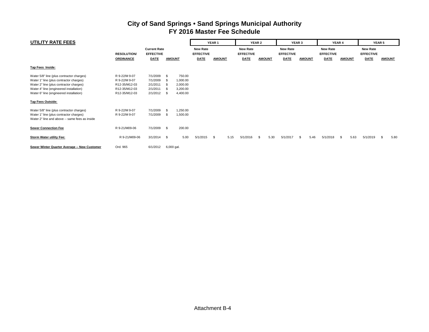| UTILITY RATE FEES                              |                  |                                                              |                |                                     |             | YEAR <sub>1</sub>                   |             | YEAR 2        |                                     | YEAR 3 |                                     | YEAR 4      |                                     | <b>YEAR 5</b> |               |      |
|------------------------------------------------|------------------|--------------------------------------------------------------|----------------|-------------------------------------|-------------|-------------------------------------|-------------|---------------|-------------------------------------|--------|-------------------------------------|-------------|-------------------------------------|---------------|---------------|------|
|                                                |                  | <b>Current Rate</b><br><b>EFFECTIVE</b><br><b>RESOLUTION</b> |                | <b>New Rate</b><br><b>EFFECTIVE</b> |             | <b>New Rate</b><br><b>EFFECTIVE</b> |             |               | <b>New Rate</b><br><b>EFFECTIVE</b> |        | <b>New Rate</b><br><b>EFFECTIVE</b> |             | <b>New Rate</b><br><b>EFFECTIVE</b> |               |               |      |
|                                                | <b>ORDINANCE</b> | <b>DATE</b>                                                  | <b>AMOUNT</b>  |                                     | <b>DATE</b> | <b>AMOUNT</b>                       | <b>DATE</b> | <b>AMOUNT</b> | <b>DATE</b>                         |        | <b>AMOUNT</b>                       | <b>DATE</b> | <b>AMOUNT</b>                       | <b>DATE</b>   | <b>AMOUNT</b> |      |
| Tap Fees Inside:                               |                  |                                                              |                |                                     |             |                                     |             |               |                                     |        |                                     |             |                                     |               |               |      |
| Water 5/8" line (plus contractor charges)      | R 9-22/M 9-07    | 7/1/2009                                                     | - \$           | 750.00                              |             |                                     |             |               |                                     |        |                                     |             |                                     |               |               |      |
| Water 1" line (plus contractor charges)        | R 9-22/M 9-07    | 7/1/2009                                                     | - \$           | 1,000.00                            |             |                                     |             |               |                                     |        |                                     |             |                                     |               |               |      |
| Water 2" line (plus contractor charges)        | R12-35/M12-03    | 2/1/2011                                                     | - \$           | 2,000.00                            |             |                                     |             |               |                                     |        |                                     |             |                                     |               |               |      |
| Water 4" line (engineered installation)        | R12-35/M12-03    | 2/1/2011                                                     | - \$           | 3,200.00                            |             |                                     |             |               |                                     |        |                                     |             |                                     |               |               |      |
| Water 6" line (engineered installation)        | R12-35/M12-03    | 2/1/2012                                                     | - \$           | 4,400.00                            |             |                                     |             |               |                                     |        |                                     |             |                                     |               |               |      |
| <b>Tap Fees Outside:</b>                       |                  |                                                              |                |                                     |             |                                     |             |               |                                     |        |                                     |             |                                     |               |               |      |
| Water 5/8" line (plus contractor charges)      | R 9-22/M 9-07    | 7/1/2009                                                     | $\mathfrak{S}$ | 1,250.00                            |             |                                     |             |               |                                     |        |                                     |             |                                     |               |               |      |
| Water 1" line (plus contractor charges)        | R 9-22/M 9-07    | 7/1/2009                                                     | - \$           | 1,500.00                            |             |                                     |             |               |                                     |        |                                     |             |                                     |               |               |      |
| Water 2" line and above -- same fees as inside |                  |                                                              |                |                                     |             |                                     |             |               |                                     |        |                                     |             |                                     |               |               |      |
| <b>Sewer Connection Fee</b>                    | R 9-21/M09-06    | 7/1/2009                                                     | $^{\circ}$     | 200.00                              |             |                                     |             |               |                                     |        |                                     |             |                                     |               |               |      |
| Storm Water utility Fee:                       | R 9-21/M09-06    | $3/1/2014$ \$                                                |                | 5.00                                | 5/1/2015    | 5.15<br>\$                          | 5/1/2016    | 5.30<br>-S    | 5/1/2017                            |        | 5.46<br>- \$                        | 5/1/2018    | 5.63<br>-S                          | 5/1/2019      | S.            | 5.80 |
| Sewer Winter Quarter Average -- New Customer   | Ord. 965         | 6/1/2012                                                     | 6,000 gal.     |                                     |             |                                     |             |               |                                     |        |                                     |             |                                     |               |               |      |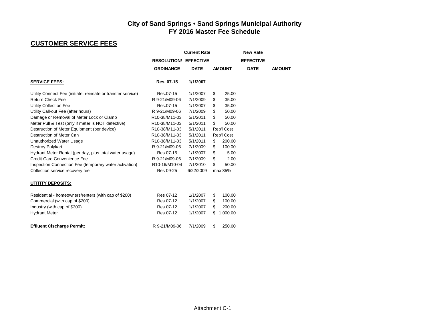# **CUSTOMER SERVICE FEES**

|                                                              | <b>Current Rate</b>                     |             |     |               | <b>New Rate</b>  |               |  |
|--------------------------------------------------------------|-----------------------------------------|-------------|-----|---------------|------------------|---------------|--|
|                                                              | <b>RESOLUTION/ EFFECTIVE</b>            |             |     |               | <b>EFFECTIVE</b> |               |  |
|                                                              | <b>ORDINANCE</b>                        | <b>DATE</b> |     | <b>AMOUNT</b> | <b>DATE</b>      | <b>AMOUNT</b> |  |
| <b>SERVICE FEES:</b>                                         | Res. 07-15                              | 1/1/2007    |     |               |                  |               |  |
| Utility Connect Fee (initiate, reinsate or transfer service) | Res.07-15                               | 1/1/2007    | \$  | 25.00         |                  |               |  |
| <b>Return Check Fee</b>                                      | R 9-21/M09-06                           | 7/1/2009    | \$  | 35.00         |                  |               |  |
| Utility Collection Fee                                       | Res.07-15                               | 1/1/2007    | \$  | 35.00         |                  |               |  |
| Utility Call-out Fee (after hours)                           | R 9-21/M09-06                           | 7/1/2009    | \$  | 50.00         |                  |               |  |
| Damage or Removal of Meter Lock or Clamp                     | R10-38/M11-03                           | 5/1/2011    | \$  | 50.00         |                  |               |  |
| Meter Pull & Test (only if meter is NOT defective)           | R10-38/M11-03                           | 5/1/2011    | \$  | 50.00         |                  |               |  |
| Destruction of Meter Equipment (per device)                  | R10-38/M11-03                           | 5/1/2011    |     | Rep'l Cost    |                  |               |  |
| Destruction of Meter Can                                     | R10-38/M11-03                           | 5/1/2011    |     | Rep'l Cost    |                  |               |  |
| Unauthorized Water Usage                                     | R10-38/M11-03                           | 5/1/2011    | \$. | 200.00        |                  |               |  |
| Destroy Polykart                                             | R 9-21/M09-06                           | 7/1/2009    | S   | 100.00        |                  |               |  |
| Hydrant Meter Rental (per day, plus total water usage)       | Res.07-15                               | 1/1/2007    | \$  | 5.00          |                  |               |  |
| <b>Credit Card Convenience Fee</b>                           | R 9-21/M09-06                           | 7/1/2009    | \$  | 2.00          |                  |               |  |
| Inspection Connection Fee (temporary water activation)       | R <sub>10</sub> -16/M <sub>10</sub> -04 | 7/1/2010    | \$  | 50.00         |                  |               |  |
| Collection service recovery fee                              | Res 09-25                               | 6/22/2009   |     | max 35%       |                  |               |  |
| <b>UTITITY DEPOSITS:</b>                                     |                                         |             |     |               |                  |               |  |
| Residential - homeowners/renters (with cap of \$200)         | Res 07-12                               | 1/1/2007    | \$  | 100.00        |                  |               |  |
| Commercial (with cap of \$200)                               | Res.07-12                               | 1/1/2007    | S   | 100.00        |                  |               |  |
| Industry (with cap of \$300)                                 | Res.07-12                               | 1/1/2007    | \$  | 200.00        |                  |               |  |
| <b>Hydrant Meter</b>                                         | Res.07-12                               | 1/1/2007    | \$  | 1,000.00      |                  |               |  |
| <b>Effluent Cischarge Permit:</b>                            | R 9-21/M09-06                           | 7/1/2009    | \$  | 250.00        |                  |               |  |
|                                                              |                                         |             |     |               |                  |               |  |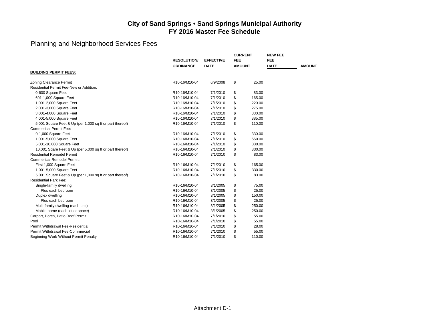| <b>FEE</b><br><b>FEE</b><br><b>RESOLUTION/</b><br><b>EFFECTIVE</b><br><b>DATE</b><br><b>DATE</b><br><b>ORDINANCE</b><br><b>AMOUNT</b><br><b>AMOUNT</b><br><b>BUILDING PERMIT FEES:</b><br>\$<br>25.00<br>Zoning Clearance Permit<br>R10-16/M10-04<br>6/9/2008<br>Residential Permit Fee-New or Addition:<br>0-600 Square Feet<br>7/1/2010<br>\$<br>83.00<br>R10-16/M10-04<br>\$<br>601-1,000 Square Feet<br>R10-16/M10-04<br>7/1/2010<br>165.00<br>\$<br>1,001-2,000 Square Feet<br>7/1/2010<br>220.00<br>R10-16/M10-04<br>\$<br>2,001-3,000 Square Feet<br>R10-16/M10-04<br>7/1/2010<br>275.00<br>3,001-4,000 Square Feet<br>\$<br>R10-16/M10-04<br>7/1/2010<br>330.00<br>\$<br>4,001-5,000 Square Feet<br>R10-16/M10-04<br>7/1/2010<br>385.00<br>\$<br>5,001 Square Feet & Up (per 1,000 sq ft or part thereof)<br>R10-16/M10-04<br>7/1/2010<br>110.00<br><b>Commerical Permit Fee:</b><br>0-1,000 Square Feet<br>R10-16/M10-04<br>7/1/2010<br>\$<br>330.00<br>\$<br>1,001-5,000 Square Feet<br>660.00<br>R10-16/M10-04<br>7/1/2010<br>\$<br>5,001-10,000 Square Feet<br>7/1/2010<br>880.00<br>R10-16/M10-04<br>\$<br>330.00<br>10,001 Sqare Feet & Up (per 5,000 sq ft or part thereof)<br>R10-16/M10-04<br>7/1/2010<br><b>Residential Remodel Permit</b><br>\$<br>83.00<br>R10-16/M10-04<br>7/1/2010<br><b>Commerical Remodel Permit:</b><br>R10-16/M10-04<br>\$<br>First 1,000 Square Feet<br>7/1/2010<br>165.00<br>\$<br>1,001-5,000 Square Feet<br>R10-16/M10-04<br>7/1/2010<br>330.00<br>\$<br>5,001 Square Feet & Up (per 1,000 sq ft or part thereof)<br>R10-16/M10-04<br>7/1/2010<br>83.00<br><b>Residential Park Fee:</b><br>R10-16/M10-04<br>\$<br>Single-family dwelling<br>3/1/2005<br>75.00<br>\$<br>Plus each bedroom<br>R10-16/M10-04<br>3/1/2005<br>25.00<br>\$<br>150.00<br>Duplex dwelling<br>R10-16/M10-04<br>3/1/2005<br>\$<br>25.00<br>Plus each bedroom<br>R10-16/M10-04<br>3/1/2005<br>\$<br>Multi-family dwelling (each unit)<br>R10-16/M10-04<br>3/1/2005<br>250.00<br>\$<br>250.00<br>Mobile home (each lot or space)<br>R10-16/M10-04<br>3/1/2005<br>\$<br>Carport, Porch, Patio Roof Permit<br>R10-16/M10-04<br>7/1/2010<br>55.00<br>Pool<br>\$<br>R10-16/M10-04<br>7/1/2010<br>55.00<br>\$<br>Permit Withdrawal Fee-Residential<br>7/1/2010<br>28.00<br>R10-16/M10-04<br>Permit Withdrawal Fee-Commercial<br>\$<br>R10-16/M10-04<br>7/1/2010<br>55.00 |                                       |               |          | <b>CURRENT</b> |        | <b>NEW FEE</b> |  |
|---------------------------------------------------------------------------------------------------------------------------------------------------------------------------------------------------------------------------------------------------------------------------------------------------------------------------------------------------------------------------------------------------------------------------------------------------------------------------------------------------------------------------------------------------------------------------------------------------------------------------------------------------------------------------------------------------------------------------------------------------------------------------------------------------------------------------------------------------------------------------------------------------------------------------------------------------------------------------------------------------------------------------------------------------------------------------------------------------------------------------------------------------------------------------------------------------------------------------------------------------------------------------------------------------------------------------------------------------------------------------------------------------------------------------------------------------------------------------------------------------------------------------------------------------------------------------------------------------------------------------------------------------------------------------------------------------------------------------------------------------------------------------------------------------------------------------------------------------------------------------------------------------------------------------------------------------------------------------------------------------------------------------------------------------------------------------------------------------------------------------------------------------------------------------------------------------------------------------------------------------------------------------------------------------------------------------------------------------------------------------------------|---------------------------------------|---------------|----------|----------------|--------|----------------|--|
|                                                                                                                                                                                                                                                                                                                                                                                                                                                                                                                                                                                                                                                                                                                                                                                                                                                                                                                                                                                                                                                                                                                                                                                                                                                                                                                                                                                                                                                                                                                                                                                                                                                                                                                                                                                                                                                                                                                                                                                                                                                                                                                                                                                                                                                                                                                                                                                       |                                       |               |          |                |        |                |  |
|                                                                                                                                                                                                                                                                                                                                                                                                                                                                                                                                                                                                                                                                                                                                                                                                                                                                                                                                                                                                                                                                                                                                                                                                                                                                                                                                                                                                                                                                                                                                                                                                                                                                                                                                                                                                                                                                                                                                                                                                                                                                                                                                                                                                                                                                                                                                                                                       |                                       |               |          |                |        |                |  |
|                                                                                                                                                                                                                                                                                                                                                                                                                                                                                                                                                                                                                                                                                                                                                                                                                                                                                                                                                                                                                                                                                                                                                                                                                                                                                                                                                                                                                                                                                                                                                                                                                                                                                                                                                                                                                                                                                                                                                                                                                                                                                                                                                                                                                                                                                                                                                                                       |                                       |               |          |                |        |                |  |
|                                                                                                                                                                                                                                                                                                                                                                                                                                                                                                                                                                                                                                                                                                                                                                                                                                                                                                                                                                                                                                                                                                                                                                                                                                                                                                                                                                                                                                                                                                                                                                                                                                                                                                                                                                                                                                                                                                                                                                                                                                                                                                                                                                                                                                                                                                                                                                                       |                                       |               |          |                |        |                |  |
|                                                                                                                                                                                                                                                                                                                                                                                                                                                                                                                                                                                                                                                                                                                                                                                                                                                                                                                                                                                                                                                                                                                                                                                                                                                                                                                                                                                                                                                                                                                                                                                                                                                                                                                                                                                                                                                                                                                                                                                                                                                                                                                                                                                                                                                                                                                                                                                       |                                       |               |          |                |        |                |  |
|                                                                                                                                                                                                                                                                                                                                                                                                                                                                                                                                                                                                                                                                                                                                                                                                                                                                                                                                                                                                                                                                                                                                                                                                                                                                                                                                                                                                                                                                                                                                                                                                                                                                                                                                                                                                                                                                                                                                                                                                                                                                                                                                                                                                                                                                                                                                                                                       |                                       |               |          |                |        |                |  |
|                                                                                                                                                                                                                                                                                                                                                                                                                                                                                                                                                                                                                                                                                                                                                                                                                                                                                                                                                                                                                                                                                                                                                                                                                                                                                                                                                                                                                                                                                                                                                                                                                                                                                                                                                                                                                                                                                                                                                                                                                                                                                                                                                                                                                                                                                                                                                                                       |                                       |               |          |                |        |                |  |
|                                                                                                                                                                                                                                                                                                                                                                                                                                                                                                                                                                                                                                                                                                                                                                                                                                                                                                                                                                                                                                                                                                                                                                                                                                                                                                                                                                                                                                                                                                                                                                                                                                                                                                                                                                                                                                                                                                                                                                                                                                                                                                                                                                                                                                                                                                                                                                                       |                                       |               |          |                |        |                |  |
|                                                                                                                                                                                                                                                                                                                                                                                                                                                                                                                                                                                                                                                                                                                                                                                                                                                                                                                                                                                                                                                                                                                                                                                                                                                                                                                                                                                                                                                                                                                                                                                                                                                                                                                                                                                                                                                                                                                                                                                                                                                                                                                                                                                                                                                                                                                                                                                       |                                       |               |          |                |        |                |  |
|                                                                                                                                                                                                                                                                                                                                                                                                                                                                                                                                                                                                                                                                                                                                                                                                                                                                                                                                                                                                                                                                                                                                                                                                                                                                                                                                                                                                                                                                                                                                                                                                                                                                                                                                                                                                                                                                                                                                                                                                                                                                                                                                                                                                                                                                                                                                                                                       |                                       |               |          |                |        |                |  |
|                                                                                                                                                                                                                                                                                                                                                                                                                                                                                                                                                                                                                                                                                                                                                                                                                                                                                                                                                                                                                                                                                                                                                                                                                                                                                                                                                                                                                                                                                                                                                                                                                                                                                                                                                                                                                                                                                                                                                                                                                                                                                                                                                                                                                                                                                                                                                                                       |                                       |               |          |                |        |                |  |
|                                                                                                                                                                                                                                                                                                                                                                                                                                                                                                                                                                                                                                                                                                                                                                                                                                                                                                                                                                                                                                                                                                                                                                                                                                                                                                                                                                                                                                                                                                                                                                                                                                                                                                                                                                                                                                                                                                                                                                                                                                                                                                                                                                                                                                                                                                                                                                                       |                                       |               |          |                |        |                |  |
|                                                                                                                                                                                                                                                                                                                                                                                                                                                                                                                                                                                                                                                                                                                                                                                                                                                                                                                                                                                                                                                                                                                                                                                                                                                                                                                                                                                                                                                                                                                                                                                                                                                                                                                                                                                                                                                                                                                                                                                                                                                                                                                                                                                                                                                                                                                                                                                       |                                       |               |          |                |        |                |  |
|                                                                                                                                                                                                                                                                                                                                                                                                                                                                                                                                                                                                                                                                                                                                                                                                                                                                                                                                                                                                                                                                                                                                                                                                                                                                                                                                                                                                                                                                                                                                                                                                                                                                                                                                                                                                                                                                                                                                                                                                                                                                                                                                                                                                                                                                                                                                                                                       |                                       |               |          |                |        |                |  |
|                                                                                                                                                                                                                                                                                                                                                                                                                                                                                                                                                                                                                                                                                                                                                                                                                                                                                                                                                                                                                                                                                                                                                                                                                                                                                                                                                                                                                                                                                                                                                                                                                                                                                                                                                                                                                                                                                                                                                                                                                                                                                                                                                                                                                                                                                                                                                                                       |                                       |               |          |                |        |                |  |
|                                                                                                                                                                                                                                                                                                                                                                                                                                                                                                                                                                                                                                                                                                                                                                                                                                                                                                                                                                                                                                                                                                                                                                                                                                                                                                                                                                                                                                                                                                                                                                                                                                                                                                                                                                                                                                                                                                                                                                                                                                                                                                                                                                                                                                                                                                                                                                                       |                                       |               |          |                |        |                |  |
|                                                                                                                                                                                                                                                                                                                                                                                                                                                                                                                                                                                                                                                                                                                                                                                                                                                                                                                                                                                                                                                                                                                                                                                                                                                                                                                                                                                                                                                                                                                                                                                                                                                                                                                                                                                                                                                                                                                                                                                                                                                                                                                                                                                                                                                                                                                                                                                       |                                       |               |          |                |        |                |  |
|                                                                                                                                                                                                                                                                                                                                                                                                                                                                                                                                                                                                                                                                                                                                                                                                                                                                                                                                                                                                                                                                                                                                                                                                                                                                                                                                                                                                                                                                                                                                                                                                                                                                                                                                                                                                                                                                                                                                                                                                                                                                                                                                                                                                                                                                                                                                                                                       |                                       |               |          |                |        |                |  |
|                                                                                                                                                                                                                                                                                                                                                                                                                                                                                                                                                                                                                                                                                                                                                                                                                                                                                                                                                                                                                                                                                                                                                                                                                                                                                                                                                                                                                                                                                                                                                                                                                                                                                                                                                                                                                                                                                                                                                                                                                                                                                                                                                                                                                                                                                                                                                                                       |                                       |               |          |                |        |                |  |
|                                                                                                                                                                                                                                                                                                                                                                                                                                                                                                                                                                                                                                                                                                                                                                                                                                                                                                                                                                                                                                                                                                                                                                                                                                                                                                                                                                                                                                                                                                                                                                                                                                                                                                                                                                                                                                                                                                                                                                                                                                                                                                                                                                                                                                                                                                                                                                                       |                                       |               |          |                |        |                |  |
|                                                                                                                                                                                                                                                                                                                                                                                                                                                                                                                                                                                                                                                                                                                                                                                                                                                                                                                                                                                                                                                                                                                                                                                                                                                                                                                                                                                                                                                                                                                                                                                                                                                                                                                                                                                                                                                                                                                                                                                                                                                                                                                                                                                                                                                                                                                                                                                       |                                       |               |          |                |        |                |  |
|                                                                                                                                                                                                                                                                                                                                                                                                                                                                                                                                                                                                                                                                                                                                                                                                                                                                                                                                                                                                                                                                                                                                                                                                                                                                                                                                                                                                                                                                                                                                                                                                                                                                                                                                                                                                                                                                                                                                                                                                                                                                                                                                                                                                                                                                                                                                                                                       |                                       |               |          |                |        |                |  |
|                                                                                                                                                                                                                                                                                                                                                                                                                                                                                                                                                                                                                                                                                                                                                                                                                                                                                                                                                                                                                                                                                                                                                                                                                                                                                                                                                                                                                                                                                                                                                                                                                                                                                                                                                                                                                                                                                                                                                                                                                                                                                                                                                                                                                                                                                                                                                                                       |                                       |               |          |                |        |                |  |
|                                                                                                                                                                                                                                                                                                                                                                                                                                                                                                                                                                                                                                                                                                                                                                                                                                                                                                                                                                                                                                                                                                                                                                                                                                                                                                                                                                                                                                                                                                                                                                                                                                                                                                                                                                                                                                                                                                                                                                                                                                                                                                                                                                                                                                                                                                                                                                                       |                                       |               |          |                |        |                |  |
|                                                                                                                                                                                                                                                                                                                                                                                                                                                                                                                                                                                                                                                                                                                                                                                                                                                                                                                                                                                                                                                                                                                                                                                                                                                                                                                                                                                                                                                                                                                                                                                                                                                                                                                                                                                                                                                                                                                                                                                                                                                                                                                                                                                                                                                                                                                                                                                       |                                       |               |          |                |        |                |  |
|                                                                                                                                                                                                                                                                                                                                                                                                                                                                                                                                                                                                                                                                                                                                                                                                                                                                                                                                                                                                                                                                                                                                                                                                                                                                                                                                                                                                                                                                                                                                                                                                                                                                                                                                                                                                                                                                                                                                                                                                                                                                                                                                                                                                                                                                                                                                                                                       |                                       |               |          |                |        |                |  |
|                                                                                                                                                                                                                                                                                                                                                                                                                                                                                                                                                                                                                                                                                                                                                                                                                                                                                                                                                                                                                                                                                                                                                                                                                                                                                                                                                                                                                                                                                                                                                                                                                                                                                                                                                                                                                                                                                                                                                                                                                                                                                                                                                                                                                                                                                                                                                                                       |                                       |               |          |                |        |                |  |
|                                                                                                                                                                                                                                                                                                                                                                                                                                                                                                                                                                                                                                                                                                                                                                                                                                                                                                                                                                                                                                                                                                                                                                                                                                                                                                                                                                                                                                                                                                                                                                                                                                                                                                                                                                                                                                                                                                                                                                                                                                                                                                                                                                                                                                                                                                                                                                                       |                                       |               |          |                |        |                |  |
|                                                                                                                                                                                                                                                                                                                                                                                                                                                                                                                                                                                                                                                                                                                                                                                                                                                                                                                                                                                                                                                                                                                                                                                                                                                                                                                                                                                                                                                                                                                                                                                                                                                                                                                                                                                                                                                                                                                                                                                                                                                                                                                                                                                                                                                                                                                                                                                       |                                       |               |          |                |        |                |  |
|                                                                                                                                                                                                                                                                                                                                                                                                                                                                                                                                                                                                                                                                                                                                                                                                                                                                                                                                                                                                                                                                                                                                                                                                                                                                                                                                                                                                                                                                                                                                                                                                                                                                                                                                                                                                                                                                                                                                                                                                                                                                                                                                                                                                                                                                                                                                                                                       |                                       |               |          |                |        |                |  |
|                                                                                                                                                                                                                                                                                                                                                                                                                                                                                                                                                                                                                                                                                                                                                                                                                                                                                                                                                                                                                                                                                                                                                                                                                                                                                                                                                                                                                                                                                                                                                                                                                                                                                                                                                                                                                                                                                                                                                                                                                                                                                                                                                                                                                                                                                                                                                                                       |                                       |               |          |                |        |                |  |
|                                                                                                                                                                                                                                                                                                                                                                                                                                                                                                                                                                                                                                                                                                                                                                                                                                                                                                                                                                                                                                                                                                                                                                                                                                                                                                                                                                                                                                                                                                                                                                                                                                                                                                                                                                                                                                                                                                                                                                                                                                                                                                                                                                                                                                                                                                                                                                                       |                                       |               |          |                |        |                |  |
|                                                                                                                                                                                                                                                                                                                                                                                                                                                                                                                                                                                                                                                                                                                                                                                                                                                                                                                                                                                                                                                                                                                                                                                                                                                                                                                                                                                                                                                                                                                                                                                                                                                                                                                                                                                                                                                                                                                                                                                                                                                                                                                                                                                                                                                                                                                                                                                       |                                       |               |          |                |        |                |  |
|                                                                                                                                                                                                                                                                                                                                                                                                                                                                                                                                                                                                                                                                                                                                                                                                                                                                                                                                                                                                                                                                                                                                                                                                                                                                                                                                                                                                                                                                                                                                                                                                                                                                                                                                                                                                                                                                                                                                                                                                                                                                                                                                                                                                                                                                                                                                                                                       | Beginning Work Without Permit Penalty | R10-16/M10-04 | 7/1/2010 | \$             | 110.00 |                |  |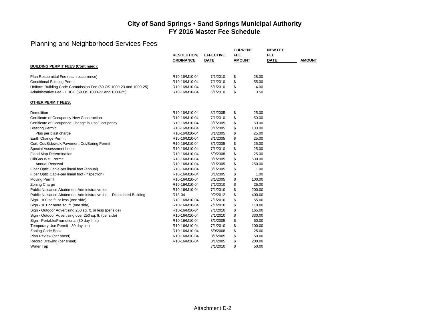|                                                                      | <b>RESOLUTION/</b> | <b>EFFECTIVE</b> | <b>CURRENT</b><br><b>FEE</b> |        | <b>NEW FEE</b><br><b>FEE</b> |               |
|----------------------------------------------------------------------|--------------------|------------------|------------------------------|--------|------------------------------|---------------|
|                                                                      | <b>ORDINANCE</b>   | <b>DATE</b>      | <b>AMOUNT</b>                |        | <b>DATE</b>                  | <b>AMOUNT</b> |
| <b>BUILDING PERMIT FEES (Continued):</b>                             |                    |                  |                              |        |                              |               |
|                                                                      |                    |                  |                              |        |                              |               |
| Plan Resubmittal Fee (each occurrence)                               | R10-16/M10-04      | 7/1/2010         | \$                           | 28.00  |                              |               |
| <b>Conditional Building Permit</b>                                   | R10-16/M10-04      | 7/1/2010         | \$                           | 55.00  |                              |               |
| Uniform Building Code Commission Fee (59 OS 1000-23 and 1000-25)     | R10-16/M10-04      | 6/1/2010         | \$                           | 4.00   |                              |               |
| Administrative Fee - UBCC (59 OS 1000-23 and 1000-25)                | R10-16/M10-04      | 6/1/2010         | \$                           | 0.50   |                              |               |
| <b>OTHER PERMIT FEES:</b>                                            |                    |                  |                              |        |                              |               |
| Demolition                                                           | R10-16/M10-04      | 3/1/2005         | \$                           | 25.00  |                              |               |
| Certificate of Occupancy-New Construction                            | R10-16/M10-04      | 7/1/2010         | \$                           | 50.00  |                              |               |
| Certificate of Occupance-Change in Use/Occupancy                     | R10-16/M10-04      | 3/1/2005         | \$                           | 50.00  |                              |               |
| <b>Blasting Permit</b>                                               | R10-16/M10-04      | 3/1/2005         | \$                           | 100.00 |                              |               |
| Plus per blast charge                                                | R10-16/M10-04      | 3/1/2005         | \$                           | 25.00  |                              |               |
| Earth Change Permit                                                  | R10-16/M10-04      | 3/1/2005         | \$                           | 25.00  |                              |               |
| Curb Cut/Sidewalk/Pavement Cut/Boring Permit                         | R10-16/M10-04      | 3/1/2005         | \$                           | 25.00  |                              |               |
| Special Assessment Letter                                            | R10-16/M10-04      | 7/1/2010         | \$                           | 25.00  |                              |               |
| Flood Map Determination                                              | R10-16/M10-04      | 6/9/2008         | \$                           | 25.00  |                              |               |
| Oil/Gas Well Permit                                                  | R10-16/M10-04      | 3/1/2005         | \$                           | 600.00 |                              |               |
| <b>Annual Renewal</b>                                                | R10-16/M10-04      | 3/1/2005         | \$                           | 250.00 |                              |               |
| Fiber Optic Cable-per lineal foot (annual)                           | R10-16/M10-04      | 3/1/2005         | \$                           | 1.00   |                              |               |
| Fiber Optic Cable-per lineal foot (inspection)                       | R10-16/M10-04      | 3/1/2005         | \$                           | 1.00   |                              |               |
| Moving Permit                                                        | R10-16/M10-04      | 3/1/2005         | \$                           | 100.00 |                              |               |
| Zoning Charge                                                        | R10-16/M10-04      | 7/1/2010         | \$                           | 25.00  |                              |               |
| Public Nuisance Abatement Administrative fee                         | R10-16/M10-04      | 7/1/2010         | \$                           | 200.00 |                              |               |
| Public Nuisance Abatement Administrative fee -- Dilapidated Building | R13-04             | 9/2/2012         | \$                           | 400.00 |                              |               |
| Sign - 100 sq ft. or less (one side)                                 | R10-16/M10-04      | 7/1/2010         | \$                           | 55.00  |                              |               |
| Sign - 101 or more sq. ft. (one side)                                | R10-16/M10-04      | 7/1/2010         | \$                           | 110.00 |                              |               |
| Sign - Outdoor Advertising 250 sq. ft. or less (per side)            | R10-16/M10-04      | 7/1/2010         | \$                           | 165.00 |                              |               |
| Sign - Outdoor Advertising over 250 sq. ft. (per side)               | R10-16/M10-04      | 7/1/2010         | \$                           | 330.00 |                              |               |
| Sign - Portable/Promotional (30 day limit)                           | R10-16/M10-04      | 3/1/2005         | \$                           | 50.00  |                              |               |
| Temporary Use Permit - 30 day limit                                  | R10-16/M10-04      | 7/1/2010         | \$                           | 100.00 |                              |               |
| Zoning Code Book                                                     | R10-16/M10-04      | 6/9/2008         | \$                           | 25.00  |                              |               |
| Plan Review (per sheet)                                              | R10-16/M10-04      | 3/1/2005         | \$                           | 50.00  |                              |               |
| Record Drawing (per sheet)                                           | R10-16/M10-04      | 3/1/2005         | \$                           | 200.00 |                              |               |
| Water Tap                                                            |                    | 7/1/2010         | \$                           | 50.00  |                              |               |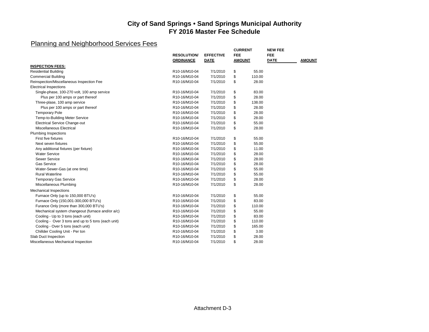|                                                    |                    |                  | <b>CURRENT</b> |        | <b>NEW FEE</b> |               |
|----------------------------------------------------|--------------------|------------------|----------------|--------|----------------|---------------|
|                                                    | <b>RESOLUTION/</b> | <b>EFFECTIVE</b> | <b>FEE</b>     |        | <b>FEE</b>     |               |
|                                                    | <b>ORDINANCE</b>   | <b>DATE</b>      | <b>AMOUNT</b>  |        | <b>DATE</b>    | <b>AMOUNT</b> |
| <b>INSPECTION FEES:</b>                            |                    |                  |                |        |                |               |
| <b>Residential Building</b>                        | R10-16/M10-04      | 7/1/2010         | \$             | 55.00  |                |               |
| <b>Commercial Building</b>                         | R10-16/M10-04      | 7/1/2010         | \$             | 110.00 |                |               |
| Reinspection/Miscellaneous Inspection Fee          | R10-16/M10-04      | 7/1/2010         | \$             | 28.00  |                |               |
| <b>Electrical Inspections</b>                      |                    |                  |                |        |                |               |
| Single-phase, 100-270 volt, 100 amp service        | R10-16/M10-04      | 7/1/2010         | \$             | 83.00  |                |               |
| Plus per 100 amps or part thereof                  | R10-16/M10-04      | 7/1/2010         | \$             | 28.00  |                |               |
| Three-plase, 100 amp service                       | R10-16/M10-04      | 7/1/2010         | \$             | 138.00 |                |               |
| Plus per 100 amps or part thereof                  | R10-16/M10-04      | 7/1/2010         | \$             | 28.00  |                |               |
| <b>Temporary Pole</b>                              | R10-16/M10-04      | 7/1/2010         | \$             | 28.00  |                |               |
| Temp-to-Building Meter Service                     | R10-16/M10-04      | 7/1/2010         | \$             | 28.00  |                |               |
| <b>Electrical Service Change-out</b>               | R10-16/M10-04      | 7/1/2010         | \$             | 55.00  |                |               |
| Miscellaneous Electrical                           | R10-16/M10-04      | 7/1/2010         | \$             | 28.00  |                |               |
| <b>Plumbing Inspections</b>                        |                    |                  |                |        |                |               |
| First five fixtures                                | R10-16/M10-04      | 7/1/2010         | \$             | 55.00  |                |               |
| Next seven fixtures                                | R10-16/M10-04      | 7/1/2010         | \$             | 55.00  |                |               |
| Any additional fixtures (per fixture)              | R10-16/M10-04      | 7/1/2010         | \$             | 11.00  |                |               |
| <b>Water Service</b>                               | R10-16/M10-04      | 7/1/2010         | \$             | 28.00  |                |               |
| Sewer Service                                      | R10-16/M10-04      | 7/1/2010         | \$             | 28.00  |                |               |
| <b>Gas Service</b>                                 | R10-16/M10-04      | 7/1/2010         | \$             | 28.00  |                |               |
| Water-Sewer-Gas (at one time)                      | R10-16/M10-04      | 7/1/2010         | \$             | 55.00  |                |               |
| <b>Rural Waterline</b>                             | R10-16/M10-04      | 7/1/2010         | \$             | 55.00  |                |               |
| <b>Temporary Gas Service</b>                       | R10-16/M10-04      | 7/1/2010         | \$             | 28.00  |                |               |
| Miscellaneous Plumbing                             | R10-16/M10-04      | 7/1/2010         | \$             | 28.00  |                |               |
| <b>Mechanical Inspections</b>                      |                    |                  |                |        |                |               |
| Furnace Only (up to 150,000 BTU's)                 | R10-16/M10-04      | 7/1/2010         | \$             | 55.00  |                |               |
| Furnace Only (150,001-300,000 BTU's)               | R10-16/M10-04      | 7/1/2010         | \$             | 83.00  |                |               |
| Furance Only (more than 300,000 BTU's)             | R10-16/M10-04      | 7/1/2010         | \$             | 110.00 |                |               |
| Mechanical system changeout (furnace and/or a/c)   | R10-16/M10-04      | 7/1/2010         | \$             | 55.00  |                |               |
| Cooling - Up to 3 tons (each unit)                 | R10-16/M10-04      | 7/1/2010         | \$             | 83.00  |                |               |
| Cooling - Over 3 tons and up to 5 tons (each unit) | R10-16/M10-04      | 7/1/2010         | \$             | 110.00 |                |               |
| Cooling - Over 5 tons (each unit)                  | R10-16/M10-04      | 7/1/2010         | \$             | 165.00 |                |               |
| Chillder Cooling Unit - Per ton                    | R10-16/M10-04      | 7/1/2010         | \$             | 3.00   |                |               |
| Slab Duct Inspection                               | R10-16/M10-04      | 7/1/2010         | \$             | 28.00  |                |               |
| Miscellaneous Mechanical Inspection                | R10-16/M10-04      | 7/1/2010         | \$             | 28.00  |                |               |
|                                                    |                    |                  |                |        |                |               |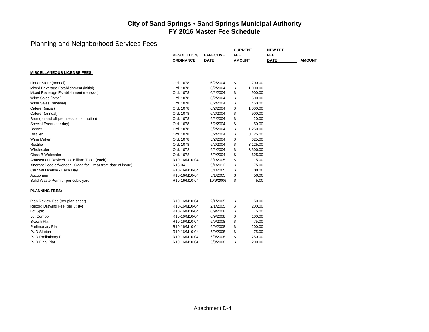|                                                                | <b>RESOLUTION/</b><br><b>ORDINANCE</b>  | <b>EFFECTIVE</b><br><b>DATE</b> | <b>CURRENT</b><br><b>FEE</b><br><b>AMOUNT</b> |          | <b>NEW FEE</b><br><b>FEE</b><br><b>DATE</b> | <b>AMOUNT</b> |
|----------------------------------------------------------------|-----------------------------------------|---------------------------------|-----------------------------------------------|----------|---------------------------------------------|---------------|
| <b>MISCELLANEOUS LICENSE FEES:</b>                             |                                         |                                 |                                               |          |                                             |               |
| Liquor Store (annual)                                          | Ord. 1078                               | 6/2/2004                        | \$                                            | 700.00   |                                             |               |
| Mixed Beverage Establishment (initial)                         | Ord. 1078                               | 6/2/2004                        | \$                                            | 1,000.00 |                                             |               |
| Mixed Beverage Establishment (renewal)                         | Ord. 1078                               | 6/2/2004                        | \$                                            | 900.00   |                                             |               |
| Wine Sales (initial)                                           | Ord. 1078                               | 6/2/2004                        | \$                                            | 500.00   |                                             |               |
| Wine Sales (renewal)                                           | Ord. 1078                               | 6/2/2004                        | \$                                            | 450.00   |                                             |               |
| Caterer (initial)                                              | Ord. 1078                               | 6/2/2004                        | \$                                            | 1,000.00 |                                             |               |
| Caterer (annual)                                               | Ord. 1078                               | 6/2/2004                        | \$                                            | 900.00   |                                             |               |
| Beer (on and off premises consumption)                         | Ord. 1078                               | 6/2/2004                        | \$                                            | 20.00    |                                             |               |
| Special Event (per day)                                        | Ord. 1078                               | 6/2/2004                        | \$                                            | 50.00    |                                             |               |
| <b>Brewer</b>                                                  | Ord. 1078                               | 6/2/2004                        | \$                                            | 1,250.00 |                                             |               |
| <b>Distiller</b>                                               | Ord. 1078                               | 6/2/2004                        | \$                                            | 3,125.00 |                                             |               |
| Wine Maker                                                     | Ord. 1078                               | 6/2/2004                        | \$                                            | 625.00   |                                             |               |
| Rectifier                                                      | Ord. 1078                               | 6/2/2004                        | \$                                            | 3,125.00 |                                             |               |
| Wholesaler                                                     | Ord. 1078                               | 6/2/2004                        | \$                                            | 3,500.00 |                                             |               |
| Class B Wolesaler                                              | Ord. 1078                               | 6/2/2004                        | \$                                            | 625.00   |                                             |               |
| Amusement Device/Pool-Billiard Table (each)                    | R10-16/M10-04                           | 3/1/2005                        | \$                                            | 15.00    |                                             |               |
| Itinerant Peddler/Vendor - Good for 1 year from date of issue) | R <sub>13</sub> -04                     | 9/1/2012                        | \$                                            | 75.00    |                                             |               |
| Carnival License - Each Day                                    | R10-16/M10-04                           | 3/1/2005                        | \$                                            | 100.00   |                                             |               |
| Auctioneer                                                     | R10-16/M10-04                           | 3/1/2005                        | \$                                            | 50.00    |                                             |               |
| Solid Waste Permit - per cubic yard                            | R <sub>10</sub> -16/M <sub>10</sub> -04 | 10/9/2006                       | \$                                            | 5.00     |                                             |               |
| <b>PLANNING FEES:</b>                                          |                                         |                                 |                                               |          |                                             |               |
| Plan Review Fee (per plan sheet)                               | R10-16/M10-04                           | 2/1/2005                        | \$                                            | 50.00    |                                             |               |
| Record Drawing Fee (per utility)                               | R10-16/M10-04                           | 2/1/2005                        | \$                                            | 200.00   |                                             |               |
| Lot Split                                                      | R <sub>10</sub> -16/M <sub>10</sub> -04 | 6/9/2008                        | \$                                            | 75.00    |                                             |               |
| Lot Combo                                                      | R <sub>10</sub> -16/M <sub>10</sub> -04 | 6/9/2008                        | \$                                            | 100.00   |                                             |               |
| <b>Sketch Plat</b>                                             | R10-16/M10-04                           | 6/9/2008                        | \$                                            | 75.00    |                                             |               |
| <b>Prelimanary Plat</b>                                        | R10-16/M10-04                           | 6/9/2008                        | \$                                            | 200.00   |                                             |               |
| <b>PUD Sketch</b>                                              | R10-16/M10-04                           | 6/9/2008                        | \$                                            | 75.00    |                                             |               |
| <b>PUD Preliminary Plat</b>                                    | R <sub>10</sub> -16/M <sub>10</sub> -04 | 6/9/2008                        | \$                                            | 250.00   |                                             |               |
| <b>PUD Final Plat</b>                                          | R10-16/M10-04                           | 6/9/2008                        | \$                                            | 200.00   |                                             |               |
|                                                                |                                         |                                 |                                               |          |                                             |               |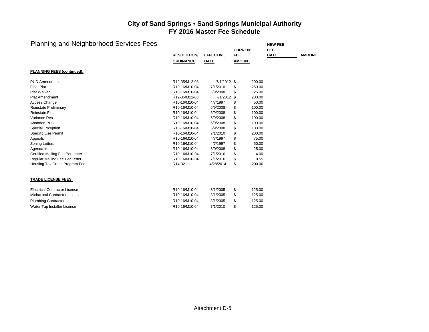| <b>Planning and Neighborhood Services Fees</b> |                    |                  | <b>CURRENT</b> | <b>NEW FEE</b><br><b>FEE</b> |               |
|------------------------------------------------|--------------------|------------------|----------------|------------------------------|---------------|
|                                                | <b>RESOLUTION/</b> | <b>EFFECTIVE</b> | <b>FEE</b>     | <b>DATE</b>                  | <b>AMOUNT</b> |
|                                                | <b>ORDINANCE</b>   | <b>DATE</b>      | <b>AMOUNT</b>  |                              |               |
| <b>PLANNING FEES (continued):</b>              |                    |                  |                |                              |               |
| <b>PUD Amendment</b>                           | R12-35/M12-03      | 7/1/2012 \$      | 200.00         |                              |               |
| <b>Final Plat</b>                              | R10-16/M10-04      | 7/1/2010         | 250.00<br>\$   |                              |               |
| <b>Plat Waiver</b>                             | R10-16/M10-04      | 6/9/2008         | \$<br>25.00    |                              |               |
| <b>Plat Amendment</b>                          | R12-35/M12-03      | 7/1/2012 \$      | 200.00         |                              |               |
| Access Change                                  | R10-16/M10-04      | 4/7/1997         | \$<br>50.00    |                              |               |
| Reinstate Preliminary                          | R10-16/M10-04      | 6/9/2008         | \$<br>100.00   |                              |               |
| <b>Reinstate Final</b>                         | R10-16/M10-04      | 6/9/2008         | \$<br>100.00   |                              |               |
| Variance Res                                   | R10-16/M10-04      | 6/9/2008         | \$<br>100.00   |                              |               |
| Abandon PUD                                    | R10-16/M10-04      | 6/9/2008         | \$<br>100.00   |                              |               |
| <b>Special Exception</b>                       | R10-16/M10-04      | 6/9/2008         | \$<br>100.00   |                              |               |
| Specific Use Permit                            | R10-16/M10-04      | 7/1/2010         | \$<br>200.00   |                              |               |
| Appeals                                        | R10-16/M10-04      | 4/7/1997         | \$<br>75.00    |                              |               |
| <b>Zoning Letters</b>                          | R10-16/M10-04      | 4/7/1997         | \$<br>50.00    |                              |               |
| Agenda Item                                    | R10-16/M10-04      | 6/9/2008         | \$<br>25.00    |                              |               |
| Certified Mailing Fee Per Letter               | R10-16/M10-04      | 7/1/2010         | \$<br>4.00     |                              |               |
| Regular Mailing Fee Per Letter                 | R10-16/M10-04      | 7/1/2010         | \$<br>0.55     |                              |               |
| Housing Tax Credit Program Fee                 | R14-32             | 4/28/2014        | \$<br>200.00   |                              |               |
| <b>TRADE LICENSE FEES:</b>                     |                    |                  |                |                              |               |
| <b>Electrical Contractor License</b>           | R10-16/M10-04      | 3/1/2005         | \$<br>125.00   |                              |               |
| Michanical Contractor License                  | R10-16/M10-04      | 3/1/2005         | \$<br>125.00   |                              |               |
| <b>Plumbing Contractor License</b>             | R10-16/M10-04      | 3/1/2005         | \$<br>125.00   |                              |               |
| Water Tap Installer License                    | R10-16/M10-04      | 7/1/2010         | \$<br>125.00   |                              |               |
|                                                |                    |                  |                |                              |               |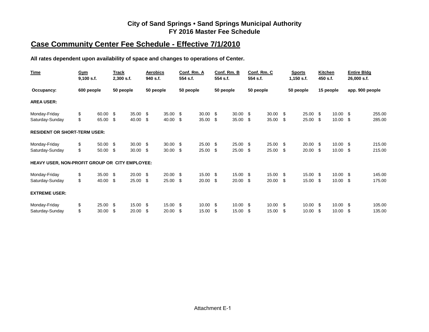# **Case Community Center Fee Schedule - Effective 7/1/2010**

**All rates dependent upon availability of space and changes to operations of Center.**

| Time                                           | Gym<br>$9,100$ s.f. |       | Track<br>$2,300$ s.f. |                 | <b>Aerobics</b><br>940 s.f. |       | Conf. Rm. A<br>554 s.f. |            | 554 s.f.  | Conf. Rm. B         | 554 s.f.  | Conf. Rm. C |     | <b>Sports</b><br>$1,150$ s.f. | <b>Kitchen</b><br>450 s.f. |            | 26,000 s.f. | <b>Entire Bldg</b> |
|------------------------------------------------|---------------------|-------|-----------------------|-----------------|-----------------------------|-------|-------------------------|------------|-----------|---------------------|-----------|-------------|-----|-------------------------------|----------------------------|------------|-------------|--------------------|
| Occupancy:                                     | 600 people          |       | 50 people             |                 | 50 people                   |       | 50 people               |            | 50 people |                     | 50 people |             |     | 50 people                     |                            | 15 people  |             | app. 900 people    |
| <b>AREA USER:</b>                              |                     |       |                       |                 |                             |       |                         |            |           |                     |           |             |     |                               |                            |            |             |                    |
| Monday-Friday                                  | \$                  | 60.00 | - \$                  | $35.00 \quad $$ |                             | 35.00 | \$                      | 30.00      | - \$      | $30.00$ \$          |           | 30.00       | \$  | 25.00                         | -\$                        | $10.00$ \$ |             | 255.00             |
| Saturday-Sunday                                | \$                  | 65.00 | - \$                  | 40.00           | \$                          | 40.00 | \$                      | 35.00      | \$        | 35.00               | \$        | 35.00       | \$  | 25.00                         | \$                         | 10.00      | -\$         | 285.00             |
| <b>RESIDENT OR SHORT-TERM USER:</b>            |                     |       |                       |                 |                             |       |                         |            |           |                     |           |             |     |                               |                            |            |             |                    |
| Monday-Friday                                  | \$                  | 50.00 | - \$                  | $30.00 \quad $$ |                             | 30.00 | \$.                     | $25.00$ \$ |           | $25.00$ \$          |           | 25.00       | \$. | 20.00                         | - \$                       | $10.00$ \$ |             | 215.00             |
| Saturday-Sunday                                | \$                  | 50.00 | - \$                  | 30.00           | -\$                         | 30.00 | \$                      | 25.00      | \$        | 25.00               | -\$       | 25.00       | \$  | 20.00                         | -\$                        | 10.00      | - \$        | 215.00             |
| HEAVY USER, NON-PROFIT GROUP OR CITY EMPLOYEE: |                     |       |                       |                 |                             |       |                         |            |           |                     |           |             |     |                               |                            |            |             |                    |
| Monday-Friday                                  | \$                  | 35.00 | - \$                  | $20.00\quad$ \$ |                             | 20.00 | -S                      | 15.00 \$   |           | 15.00 \$            |           | 15.00       | \$  | 15.00                         | - \$                       | $10.00$ \$ |             | 145.00             |
| Saturday-Sunday                                | \$                  | 40.00 | - \$                  | 25.00           | - \$                        | 25.00 | \$                      | 20.00      | -\$       | $20.00\quad$ \$     |           | 20.00       | \$  | 15.00                         | -\$                        | $10.00$ \$ |             | 175.00             |
| <b>EXTREME USER:</b>                           |                     |       |                       |                 |                             |       |                         |            |           |                     |           |             |     |                               |                            |            |             |                    |
| Monday-Friday                                  | \$                  | 25.00 | - \$                  | 15.00           | \$                          | 15.00 | \$                      | 10.00      | -\$       | $10.00 \text{ }$ \$ |           | 10.00       | \$. | 10.00                         | -\$                        | $10.00$ \$ |             | 105.00             |
| Saturday-Sunday                                | \$                  | 30.00 | - \$                  | 20.00           | \$                          | 20.00 | \$                      | 15.00      | \$        | 15.00               | \$        | 15.00       | S   | 10.00                         | \$                         | 10.00      | - \$        | 135.00             |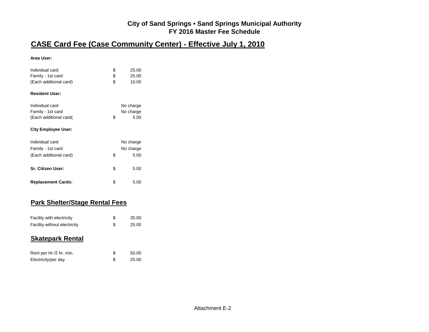# **CASE Card Fee (Case Community Center) - Effective July 1, 2010**

#### **Area User:**

| Individual card<br>Family - 1st card<br>(Each additional card)                               | \$<br>\$<br>\$ | 25.00<br>25.00<br>10.00        |
|----------------------------------------------------------------------------------------------|----------------|--------------------------------|
| <b>Resident User:</b>                                                                        |                |                                |
| Individual card<br>Family - 1st card<br>(Each additional card)<br><b>City Employee User:</b> | \$             | No charge<br>No charge<br>5.00 |
| Individual card<br>Family - 1st card<br>(Each additional card)                               | \$             | No charge<br>No charge<br>5.00 |
| Sr. Citizen User:                                                                            | \$             | 5.00                           |
| <b>Replacement Cards:</b>                                                                    | \$             | 5.00                           |

#### **Park Shelter/Stage Rental Fees**

| Facility with electricity    | 35.00 |
|------------------------------|-------|
| Facility without electricity | 25.00 |

#### **Skatepark Rental**

| Rent per Hr./2 hr. min. | 50.00 |
|-------------------------|-------|
| Electricity/per day     | 25.00 |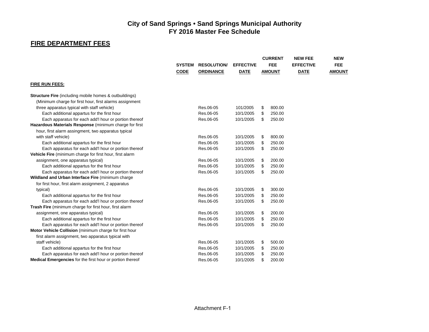# **FIRE DEPARTMENT FEES**

|                                                                  | <b>SYSTEM</b><br><b>RESOLUTION/</b><br><b>CODE</b><br><b>ORDINANCE</b> |           | <b>EFFECTIVE</b><br><b>DATE</b> | <b>CURRENT</b><br><b>FEE</b><br><b>AMOUNT</b> | <b>NEW FEE</b><br><b>EFFECTIVE</b><br><b>DATE</b> | <b>NEW</b><br>FEE.<br><b>AMOUNT</b> |
|------------------------------------------------------------------|------------------------------------------------------------------------|-----------|---------------------------------|-----------------------------------------------|---------------------------------------------------|-------------------------------------|
| <b>FIRE RUN FEES:</b>                                            |                                                                        |           |                                 |                                               |                                                   |                                     |
| <b>Structure Fire</b> (including mobile homes & outbuildings)    |                                                                        |           |                                 |                                               |                                                   |                                     |
| (Minimum charge for first hour, first alarms assignment          |                                                                        |           |                                 |                                               |                                                   |                                     |
| three apparatus typical with staff vehicle)                      |                                                                        | Res.06-05 | 101/2005                        | \$<br>800.00                                  |                                                   |                                     |
| Each additional appartus for the first hour                      |                                                                        | Res.06-05 | 10/1/2005                       | \$<br>250.00                                  |                                                   |                                     |
| Each apparatus for each add'l hour or portion thereof            |                                                                        | Res.06-05 | 10/1/2005                       | \$<br>250.00                                  |                                                   |                                     |
| Hazardous Materials Response (minimum charge for first           |                                                                        |           |                                 |                                               |                                                   |                                     |
| hour, first alarm assingment, two apparatus typical              |                                                                        |           |                                 |                                               |                                                   |                                     |
| with staff vehicle)                                              |                                                                        | Res.06-05 | 10/1/2005                       | \$<br>800.00                                  |                                                   |                                     |
| Each additional appartus for the first hour                      |                                                                        | Res.06-05 | 10/1/2005                       | \$<br>250.00                                  |                                                   |                                     |
| Each apparatus for each add'I hour or portion thereof            |                                                                        | Res.06-05 | 10/1/2005                       | \$<br>250.00                                  |                                                   |                                     |
| Vehicle Fire (minimum charge for first hour, first alarm         |                                                                        |           |                                 |                                               |                                                   |                                     |
| assignment, one apparatus typical)                               |                                                                        | Res.06-05 | 10/1/2005                       | \$<br>200.00                                  |                                                   |                                     |
| Each additional appartus for the first hour                      |                                                                        | Res.06-05 | 10/1/2005                       | \$<br>250.00                                  |                                                   |                                     |
| Each apparatus for each add'l hour or portion thereof            |                                                                        | Res.06-05 | 10/1/2005                       | \$<br>250.00                                  |                                                   |                                     |
| Wildland and Urban Interface Fire (minimum charge                |                                                                        |           |                                 |                                               |                                                   |                                     |
| for first hour, first alarm assignment, 2 apparatus              |                                                                        |           |                                 |                                               |                                                   |                                     |
| typical)                                                         |                                                                        | Res.06-05 | 10/1/2005                       | \$<br>300.00                                  |                                                   |                                     |
| Each additional appartus for the first hour                      |                                                                        | Res.06-05 | 10/1/2005                       | \$<br>250.00                                  |                                                   |                                     |
| Each apparatus for each add'I hour or portion thereof            |                                                                        | Res.06-05 | 10/1/2005                       | \$<br>250.00                                  |                                                   |                                     |
| Trash Fire (minimum charge for first hour, first alarm           |                                                                        |           |                                 |                                               |                                                   |                                     |
| assignment, one apparatus typical)                               |                                                                        | Res.06-05 | 10/1/2005                       | \$<br>200.00                                  |                                                   |                                     |
| Each additional appartus for the first hour                      |                                                                        | Res.06-05 | 10/1/2005                       | \$<br>250.00                                  |                                                   |                                     |
| Each apparatus for each add'l hour or portion thereof            |                                                                        | Res.06-05 | 10/1/2005                       | \$<br>250.00                                  |                                                   |                                     |
| Motor Vehicle Collision (minimum charge for first hour           |                                                                        |           |                                 |                                               |                                                   |                                     |
| first alarm assignment, two apparatus typical with               |                                                                        |           |                                 |                                               |                                                   |                                     |
| staff vehicle)                                                   |                                                                        | Res.06-05 | 10/1/2005                       | \$<br>500.00                                  |                                                   |                                     |
| Each additional appartus for the first hour                      |                                                                        | Res.06-05 | 10/1/2005                       | \$<br>250.00                                  |                                                   |                                     |
| Each apparatus for each add'l hour or portion thereof            |                                                                        | Res.06-05 | 10/1/2005                       | \$<br>250.00                                  |                                                   |                                     |
| <b>Medical Emergencies</b> for the first hour or portion thereof |                                                                        | Res.06-05 | 10/1/2005                       | \$<br>200.00                                  |                                                   |                                     |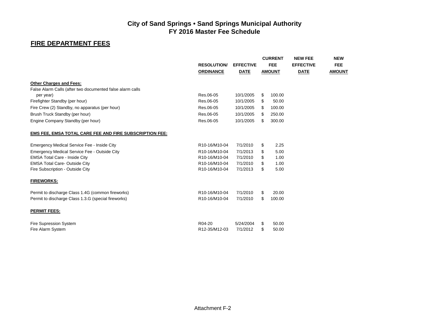# **FIRE DEPARTMENT FEES**

|                                                           | <b>RESOLUTION</b><br><b>ORDINANCE</b> | <b>EFFECTIVE</b><br><b>DATE</b> |     | <b>CURRENT</b><br><b>FEE</b><br><b>AMOUNT</b> | <b>NEW FEE</b><br><b>EFFECTIVE</b><br><b>DATE</b> | <b>NEW</b><br>FEE.<br><b>AMOUNT</b> |
|-----------------------------------------------------------|---------------------------------------|---------------------------------|-----|-----------------------------------------------|---------------------------------------------------|-------------------------------------|
| <b>Other Charges and Fees:</b>                            |                                       |                                 |     |                                               |                                                   |                                     |
| False Alarm Calls (after two documented false alarm calls |                                       |                                 |     |                                               |                                                   |                                     |
| per year)                                                 | Res.06-05                             | 10/1/2005                       | \$  | 100.00                                        |                                                   |                                     |
| Firefighter Standby (per hour)                            | Res.06-05                             | 10/1/2005                       | \$  | 50.00                                         |                                                   |                                     |
| Fire Crew (2) Standby, no apparatus (per hour)            | Res.06-05                             | 10/1/2005                       | S.  | 100.00                                        |                                                   |                                     |
| Brush Truck Standby (per hour)                            | Res.06-05                             | 10/1/2005                       | \$  | 250.00                                        |                                                   |                                     |
| Engine Company Standby (per hour)                         | Res.06-05                             | 10/1/2005                       | \$. | 300.00                                        |                                                   |                                     |
| EMS FEE, EMSA TOTAL CARE FEE AND FIRE SUBSCRIPTION FEE:   |                                       |                                 |     |                                               |                                                   |                                     |
| Emergency Medical Service Fee - Inside City               | R10-16/M10-04                         | 7/1/2010                        | \$  | 2.25                                          |                                                   |                                     |
| Emergency Medical Service Fee - Outside City              | R10-16/M10-04                         | 7/1/2013                        | \$  | 5.00                                          |                                                   |                                     |
| <b>EMSA Total Care - Inside City</b>                      | R10-16/M10-04                         | 7/1/2010                        | \$  | 1.00                                          |                                                   |                                     |
| <b>EMSA Total Care- Outside City</b>                      | R10-16/M10-04                         | 7/1/2010                        | \$  | 1.00                                          |                                                   |                                     |
| Fire Subscription - Outside City                          | R10-16/M10-04                         | 7/1/2013                        | \$  | 5.00                                          |                                                   |                                     |
| <b>FIREWORKS:</b>                                         |                                       |                                 |     |                                               |                                                   |                                     |
| Permit to discharge Class 1.4G (common fireworks)         | R10-16/M10-04                         | 7/1/2010                        | \$. | 20.00                                         |                                                   |                                     |
| Permit to discharge Class 1.3.G (special fireworks)       | R10-16/M10-04                         | 7/1/2010                        | \$  | 100.00                                        |                                                   |                                     |
| <b>PERMIT FEES:</b>                                       |                                       |                                 |     |                                               |                                                   |                                     |
| Fire Supression System                                    | R04-20                                | 5/24/2004                       | \$  | 50.00                                         |                                                   |                                     |
| Fire Alarm System                                         | R12-35/M12-03                         | 7/1/2012                        | \$  | 50.00                                         |                                                   |                                     |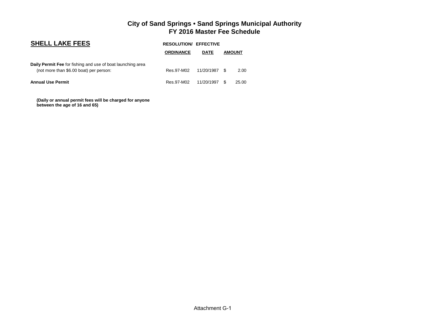| <b>SHELL LAKE FEES</b>                                                                                 | <b>RESOLUTION/ EFFECTIVE</b> |             |               |       |
|--------------------------------------------------------------------------------------------------------|------------------------------|-------------|---------------|-------|
|                                                                                                        | <b>ORDINANCE</b>             | <b>DATE</b> | <b>AMOUNT</b> |       |
| Daily Permit Fee for fishing and use of boat launching area<br>(not more than \$6.00 boat) per person: | Res.97-M02                   | 11/20/1987  | - \$          | 2.00  |
| <b>Annual Use Permit</b>                                                                               | Res.97-M02                   | 11/20/1997  | - \$          | 25.00 |

 **(Daily or annual permit fees will be charged for anyone between the age of 16 and 65)**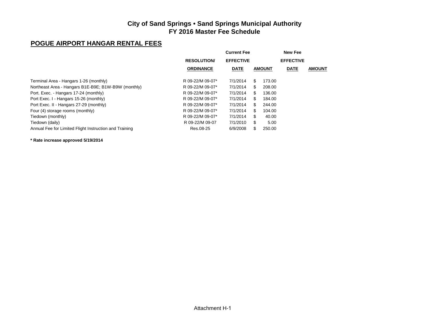#### **POGUE AIRPORT HANGAR RENTAL FEES**

|                                                        |                    | <b>Current Fee</b> |     |               | New Fee          |               |
|--------------------------------------------------------|--------------------|--------------------|-----|---------------|------------------|---------------|
|                                                        | <b>RESOLUTION/</b> | <b>EFFECTIVE</b>   |     |               | <b>EFFECTIVE</b> |               |
|                                                        | <b>ORDINANCE</b>   | <b>DATE</b>        |     | <b>AMOUNT</b> | <b>DATE</b>      | <b>AMOUNT</b> |
| Terminal Area - Hangars 1-26 (monthly)                 | R 09-22/M 09-07*   | 7/1/2014           | S   | 173.00        |                  |               |
| Northeast Area - Hangars B1E-B9E; B1W-B9W (monthly)    | R 09-22/M 09-07*   | 7/1/2014           | \$. | 208.00        |                  |               |
| Port. Exec. - Hangars 17-24 (monthly)                  | R 09-22/M 09-07*   | 7/1/2014           | S   | 136.00        |                  |               |
| Port Exec. I - Hangars 15-26 (monthly)                 | R 09-22/M 09-07*   | 7/1/2014           | \$. | 184.00        |                  |               |
| Port Exec. II - Hangars 27-29 (monthly)                | R 09-22/M 09-07*   | 7/1/2014           | S   | 244.00        |                  |               |
| Four (4) storage rooms (monthly)                       | R 09-22/M 09-07*   | 7/1/2014           | S   | 104.00        |                  |               |
| Tiedown (monthly)                                      | R 09-22/M 09-07*   | 7/1/2014           | \$  | 40.00         |                  |               |
| Tiedown (daily)                                        | R 09-22/M 09-07    | 7/1/2010           | \$  | 5.00          |                  |               |
| Annual Fee for Limited Flight Instruction and Training | Res.08-25          | 6/9/2008           | \$. | 250.00        |                  |               |

**\* Rate increase approved 5/19/2014**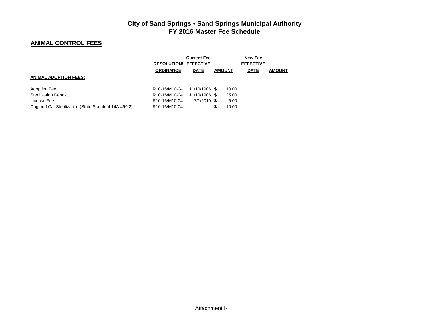and the company of the

#### **ANIMAL CONTROL FEES**

|                                                       | <b>RESOLUTION/ EFFECTIVE</b>            | <b>Current Fee</b> |               | <b>New Fee</b><br><b>EFFECTIVE</b> |               |
|-------------------------------------------------------|-----------------------------------------|--------------------|---------------|------------------------------------|---------------|
|                                                       | <b>ORDINANCE</b>                        | <b>DATE</b>        | <b>AMOUNT</b> | <b>DATE</b>                        | <b>AMOUNT</b> |
| <b>ANIMAL ADOPTION FEES:</b>                          |                                         |                    |               |                                    |               |
| <b>Adoption Fee</b>                                   | R <sub>10</sub> -16/M <sub>10</sub> -04 | 11/10/1986 \$      | 10.00         |                                    |               |
| <b>Sterilization Deposit</b>                          | R <sub>10</sub> -16/M <sub>10</sub> -04 | 11/10/1986 \$      | 25.00         |                                    |               |
| License Fee                                           | R <sub>10</sub> -16/M <sub>10</sub> -04 | $7/1/2010$ \$      | 5.00          |                                    |               |
| Dog and Cat Sterilization (State Statute 4.14A.499.2) | R <sub>10</sub> -16/M <sub>10</sub> -04 |                    | 10.00<br>\$   |                                    |               |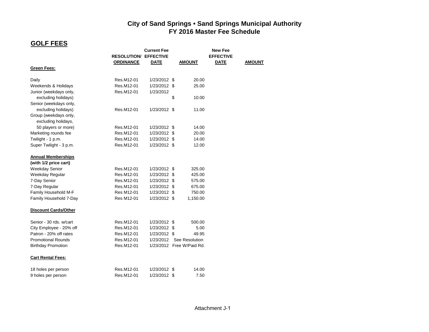# **GOLF FEES**

|                                               |                              | <b>Current Fee</b> |                           | New Fee          |               |
|-----------------------------------------------|------------------------------|--------------------|---------------------------|------------------|---------------|
|                                               | <b>RESOLUTION/ EFFECTIVE</b> |                    |                           | <b>EFFECTIVE</b> |               |
|                                               | <b>ORDINANCE</b>             | <b>DATE</b>        | <b>AMOUNT</b>             | <b>DATE</b>      | <b>AMOUNT</b> |
| <b>Green Fees:</b>                            |                              |                    |                           |                  |               |
| Daily                                         | Res.M12-01                   | 1/23/2012 \$       | 20.00                     |                  |               |
| Weekends & Holidays                           | Res.M12-01                   | 1/23/2012 \$       | 25.00                     |                  |               |
| Junior (weekdays only,<br>excluding holidays) | Res.M12-01                   | 1/23/2012          | \$<br>10.00               |                  |               |
| Senior (weekdays only,                        |                              |                    |                           |                  |               |
| excluding holidays)                           | Res.M12-01                   | 1/23/2012 \$       | 11.00                     |                  |               |
| Group (weekdays only,                         |                              |                    |                           |                  |               |
| excluding holidays,                           |                              |                    |                           |                  |               |
| 50 players or more)                           | Res.M12-01                   | 1/23/2012 \$       | 14.00                     |                  |               |
| Marketing rounds fee                          | Res.M12-01                   | 1/23/2012 \$       | 20.00                     |                  |               |
| Twilight - 1 p.m.                             | Res.M12-01                   | 1/23/2012 \$       | 14.00                     |                  |               |
| Super Twilight - 3 p.m.                       | Res.M12-01                   | 1/23/2012 \$       | 12.00                     |                  |               |
| <b>Annual Memberships</b>                     |                              |                    |                           |                  |               |
| (with 1/2 price cart)                         |                              |                    |                           |                  |               |
| <b>Weekday Senior</b>                         | Res.M12-01                   | 1/23/2012 \$       | 325.00                    |                  |               |
| Weekday Regular                               | Res.M12-01                   | 1/23/2012 \$       | 425.00                    |                  |               |
| 7-Day Senior                                  | Res.M12-01                   | 1/23/2012 \$       | 575.00                    |                  |               |
| 7-Day Regular                                 | Res.M12-01                   | 1/23/2012 \$       | 675.00                    |                  |               |
| Family Household M-F                          | Res M12-01                   | 1/23/2012 \$       | 750.00                    |                  |               |
| Family Household 7-Day                        | Res M12-01                   | 1/23/2012 \$       | 1,150.00                  |                  |               |
| <b>Discount Cards/Other</b>                   |                              |                    |                           |                  |               |
| Senior - 30 rds. w/cart                       | Res.M12-01                   | 1/23/2012 \$       | 500.00                    |                  |               |
| City Employee - 20% off                       | Res.M12-01                   | 1/23/2012 \$       | 5.00                      |                  |               |
| Patron - 20% off rates                        | Res.M12-01                   | 1/23/2012 \$       | 49.95                     |                  |               |
| <b>Promotional Rounds</b>                     | Res.M12-01                   | 1/23/2012          | See Resolution            |                  |               |
| <b>Birthday Promotion</b>                     | Res.M12-01                   |                    | 1/23/2012 Free W/Paid Rd. |                  |               |
| <b>Cart Rental Fees:</b>                      |                              |                    |                           |                  |               |
| 18 holes per person                           | Res.M12-01                   | 1/23/2012 \$       | 14.00                     |                  |               |
| 9 holes per person                            | Res.M12-01                   | 1/23/2012 \$       | 7.50                      |                  |               |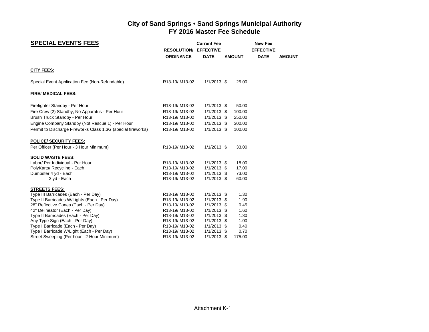| <b>SPECIAL EVENTS FEES</b>                                                            | <b>RESOLUTION/ EFFECTIVE</b><br><b>ORDINANCE</b>        | <b>Current Fee</b><br><b>DATE</b> | <b>AMOUNT</b>  | <b>New Fee</b><br><b>EFFECTIVE</b><br><b>DATE</b> | <b>AMOUNT</b> |
|---------------------------------------------------------------------------------------|---------------------------------------------------------|-----------------------------------|----------------|---------------------------------------------------|---------------|
| <b>CITY FEES:</b>                                                                     |                                                         |                                   |                |                                                   |               |
| Special Event Application Fee (Non-Refundable)                                        | R13-19/M13-02                                           | $1/1/2013$ \$                     | 25.00          |                                                   |               |
| FIRE/ MEDICAL FEES:                                                                   |                                                         |                                   |                |                                                   |               |
| Firefighter Standby - Per Hour                                                        | R13-19/M13-02                                           | $1/1/2013$ \$                     | 50.00          |                                                   |               |
| Fire Crew (2) Standby, No Apparatus - Per Hour                                        | R13-19/M13-02                                           | $1/1/2013$ \$                     | 100.00         |                                                   |               |
| Brush Truck Standby - Per Hour                                                        | R13-19/M13-02                                           | $1/1/2013$ \$                     | 250.00         |                                                   |               |
| Engine Company Standby (Not Rescue 1) - Per Hour                                      | R13-19/M13-02                                           | $1/1/2013$ \$                     | 300.00         |                                                   |               |
| Permit to Discharge Fireworks Class 1.3G (special fireworks)                          | R13-19/M13-02                                           | $1/1/2013$ \$                     | 100.00         |                                                   |               |
| <b>POLICE/ SECURITY FEES:</b>                                                         |                                                         |                                   |                |                                                   |               |
| Per Officer (Per Hour - 3 Hour Minimum)                                               | R13-19/M13-02                                           | $1/1/2013$ \$                     | 33.00          |                                                   |               |
| <b>SOLID WASTE FEES:</b>                                                              |                                                         |                                   |                |                                                   |               |
| Labor/ Per Individual - Per Hour                                                      | R <sub>13</sub> -19/M <sub>13-02</sub>                  | $1/1/2013$ \$                     | 18.00          |                                                   |               |
| PolyKarts/ Recycling - Each                                                           | R13-19/M13-02                                           | $1/1/2013$ \$                     | 17.00          |                                                   |               |
| Dumpster 4 yd - Each<br>3 yd - Each                                                   | R13-19/M13-02<br>R13-19/M13-02                          | $1/1/2013$ \$<br>$1/1/2013$ \$    | 73.00<br>60.00 |                                                   |               |
|                                                                                       |                                                         |                                   |                |                                                   |               |
| <b>STREETS FEES:</b>                                                                  |                                                         |                                   |                |                                                   |               |
| Type III Barricades (Each - Per Day)                                                  | R13-19/M13-02                                           | $1/1/2013$ \$                     | 1.30           |                                                   |               |
| Type II Barricades W/Lights (Each - Per Day)<br>28" Reflective Cones (Each - Per Day) | R13-19/M13-02<br>R <sub>13</sub> -19/M <sub>13-02</sub> | $1/1/2013$ \$<br>$1/1/2013$ \$    | 1.90<br>0.45   |                                                   |               |
| 42" Delineator (Each - Per Day)                                                       | R13-19/M13-02                                           | $1/1/2013$ \$                     | 1.60           |                                                   |               |
| Type II Barricades (Each - Per Day)                                                   | R13-19/M13-02                                           | $1/1/2013$ \$                     | 1.30           |                                                   |               |
| Any Type Sign (Each - Per Day)                                                        | R13-19/M13-02                                           | $1/1/2013$ \$                     | 1.00           |                                                   |               |
| Type I Barricade (Each - Per Day)                                                     | R13-19/M13-02                                           | $1/1/2013$ \$                     | 0.40           |                                                   |               |
| Type I Barricade W/Light (Each - Per Day)                                             | R13-19/M13-02                                           | $1/1/2013$ \$                     | 0.70           |                                                   |               |
| Street Sweeping (Per hour - 2 Hour Minimum)                                           | R <sub>13</sub> -19/M <sub>13-02</sub>                  | $1/1/2013$ \$                     | 175.00         |                                                   |               |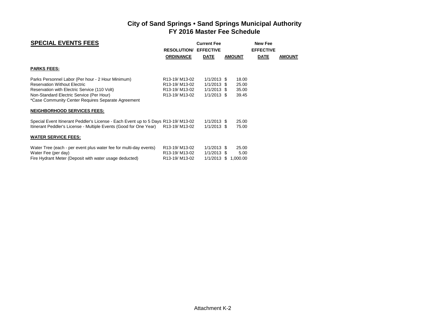| <b>SPECIAL EVENTS FEES</b>                                                                                                                                                                                                                                                       | <b>RESOLUTION/</b><br><b>ORDINANCE</b>                                                                             | <b>Current Fee</b><br><b>EFFECTIVE</b><br><b>DATE</b>            | <b>AMOUNT</b>                    | <b>New Fee</b><br><b>EFFECTIVE</b><br><b>DATE</b> | <b>AMOUNT</b> |
|----------------------------------------------------------------------------------------------------------------------------------------------------------------------------------------------------------------------------------------------------------------------------------|--------------------------------------------------------------------------------------------------------------------|------------------------------------------------------------------|----------------------------------|---------------------------------------------------|---------------|
| <b>PARKS FEES:</b>                                                                                                                                                                                                                                                               |                                                                                                                    |                                                                  |                                  |                                                   |               |
| Parks Personnel Labor (Per hour - 2 Hour Minimum)<br><b>Reservation Without Electric</b><br>Reservation with Electric Service (110 Volt)<br>Non-Standard Electric Service (Per Hour)<br>*Case Community Center Requires Separate Agreement<br><b>NEIGHBORHOOD SERVICES FEES:</b> | R <sub>13</sub> -19/M <sub>13-02</sub><br>R13-19/M13-02<br>R13-19/M13-02<br>R <sub>13</sub> -19/M <sub>13-02</sub> | $1/1/2013$ \$<br>$1/1/2013$ \$<br>$1/1/2013$ \$<br>$1/1/2013$ \$ | 18.00<br>25.00<br>35.00<br>39.45 |                                                   |               |
| Special Event Itinerant Peddler's License - Each Event up to 5 Days R13-19/M13-02<br>Itinerant Peddler's License - Multiple Events (Good for One Year)<br><b>WATER SERVICE FEES:</b>                                                                                             | R <sub>13</sub> -19/M <sub>13-02</sub>                                                                             | $1/1/2013$ \$<br>$1/1/2013$ \$                                   | 25.00<br>75.00                   |                                                   |               |
| Water Tree (each - per event plus water fee for multi-day events)<br>Water Fee (per day)<br>Fire Hydrant Meter (Deposit with water usage deducted)                                                                                                                               | R <sub>13</sub> -19/M <sub>13-02</sub><br>R13-19/M13-02<br>R <sub>13</sub> -19/M <sub>13-02</sub>                  | $1/1/2013$ \$<br>$1/1/2013$ \$<br>$1/1/2013$ \$                  | 25.00<br>5.00<br>1,000.00        |                                                   |               |